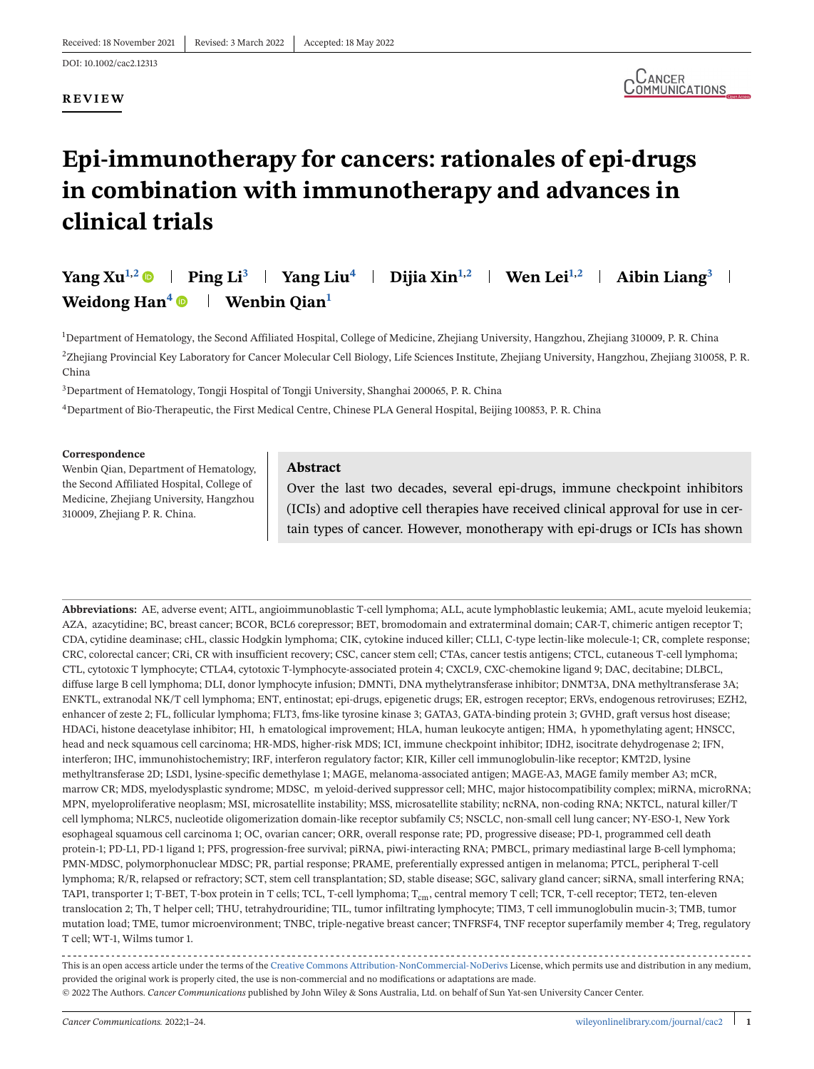#### **REVIEW**



## **Epi-immunotherapy for cancers: rationales of epi-drugs in combination with immunotherapy and advances in clinical trials**

## **Yang Xu<sup>1,2</sup> • Ping Li**<sup>3</sup> **Yang Liu<sup>4</sup> · Dijia Xin<sup>1,2</sup> · Wen Lei<sup>1,2</sup> · Aibin Liang<sup>3</sup> · Weidong Han<sup>4</sup> • | Wenbin Qian<sup>1</sup>**

1 Department of Hematology, the Second Affiliated Hospital, College of Medicine, Zhejiang University, Hangzhou, Zhejiang 310009, P. R. China 2Zhejiang Provincial Key Laboratory for Cancer Molecular Cell Biology, Life Sciences Institute, Zhejiang University, Hangzhou, Zhejiang 310058, P. R. China

3Department of Hematology, Tongji Hospital of Tongji University, Shanghai 200065, P. R. China

4Department of Bio-Therapeutic, the First Medical Centre, Chinese PLA General Hospital, Beijing 100853, P. R. China

#### **Correspondence**

Wenbin Qian, Department of Hematology, the Second Affiliated Hospital, College of Medicine, Zhejiang University, Hangzhou 310009, Zhejiang P. R. China.

#### **Abstract**

Over the last two decades, several epi-drugs, immune checkpoint inhibitors (ICIs) and adoptive cell therapies have received clinical approval for use in certain types of cancer. However, monotherapy with epi-drugs or ICIs has shown

**Abbreviations:** AE, adverse event; AITL, angioimmunoblastic T-cell lymphoma; ALL, acute lymphoblastic leukemia; AML, acute myeloid leukemia; AZA, azacytidine; BC, breast cancer; BCOR, BCL6 corepressor; BET, bromodomain and extraterminal domain; CAR-T, chimeric antigen receptor T; CDA, cytidine deaminase; cHL, classic Hodgkin lymphoma; CIK, cytokine induced killer; CLL1, C-type lectin-like molecule-1; CR, complete response; CRC, colorectal cancer; CRi, CR with insufficient recovery; CSC, cancer stem cell; CTAs, cancer testis antigens; CTCL, cutaneous T-cell lymphoma; CTL, cytotoxic T lymphocyte; CTLA4, cytotoxic T-lymphocyte-associated protein 4; CXCL9, CXC-chemokine ligand 9; DAC, decitabine; DLBCL, diffuse large B cell lymphoma; DLI, donor lymphocyte infusion; DMNTi, DNA mythelytransferase inhibitor; DNMT3A, DNA methyltransferase 3A; ENKTL, extranodal NK/T cell lymphoma; ENT, entinostat; epi-drugs, epigenetic drugs; ER, estrogen receptor; ERVs, endogenous retroviruses; EZH2, enhancer of zeste 2; FL, follicular lymphoma; FLT3, fms-like tyrosine kinase 3; GATA3, GATA-binding protein 3; GVHD, graft versus host disease; HDACi, histone deacetylase inhibitor; HI, h ematological improvement; HLA, human leukocyte antigen; HMA, h ypomethylating agent; HNSCC, head and neck squamous cell carcinoma; HR-MDS, higher-risk MDS; ICI, immune checkpoint inhibitor; IDH2, isocitrate dehydrogenase 2; IFN, interferon; IHC, immunohistochemistry; IRF, interferon regulatory factor; KIR, Killer cell immunoglobulin-like receptor; KMT2D, lysine methyltransferase 2D; LSD1, lysine-specific demethylase 1; MAGE, melanoma-associated antigen; MAGE-A3, MAGE family member A3; mCR, marrow CR; MDS, myelodysplastic syndrome; MDSC, m yeloid-derived suppressor cell; MHC, major histocompatibility complex; miRNA, microRNA; MPN, myeloproliferative neoplasm; MSI, microsatellite instability; MSS, microsatellite stability; ncRNA, non-coding RNA; NKTCL, natural killer/T cell lymphoma; NLRC5, nucleotide oligomerization domain-like receptor subfamily C5; NSCLC, non-small cell lung cancer; NY-ESO-1, New York esophageal squamous cell carcinoma 1; OC, ovarian cancer; ORR, overall response rate; PD, progressive disease; PD-1, programmed cell death protein-1; PD-L1, PD-1 ligand 1; PFS, progression-free survival; piRNA, piwi-interacting RNA; PMBCL, primary mediastinal large B-cell lymphoma; PMN-MDSC, polymorphonuclear MDSC; PR, partial response; PRAME, preferentially expressed antigen in melanoma; PTCL, peripheral T-cell lymphoma; R/R, relapsed or refractory; SCT, stem cell transplantation; SD, stable disease; SGC, salivary gland cancer; siRNA, small interfering RNA; TAP1, transporter 1; T-BET, T-box protein in T cells; TCL, T-cell lymphoma; T<sub>cm</sub>, central memory T cell; TCR, T-cell receptor; TET2, ten-eleven translocation 2; Th, T helper cell; THU, tetrahydrouridine; TIL, tumor infiltrating lymphocyte; TIM3, T cell immunoglobulin mucin-3; TMB, tumor mutation load; TME, tumor microenvironment; TNBC, triple-negative breast cancer; TNFRSF4, TNF receptor superfamily member 4; Treg, regulatory T cell; WT-1, Wilms tumor 1.

This is an open access article under the terms of the [Creative Commons Attribution-NonCommercial-NoDerivs](http://creativecommons.org/licenses/by-nc-nd/4.0/) License, which permits use and distribution in any medium, provided the original work is properly cited, the use is non-commercial and no modifications or adaptations are made. © 2022 The Authors. *Cancer Communications* published by John Wiley & Sons Australia, Ltd. on behalf of Sun Yat-sen University Cancer Center.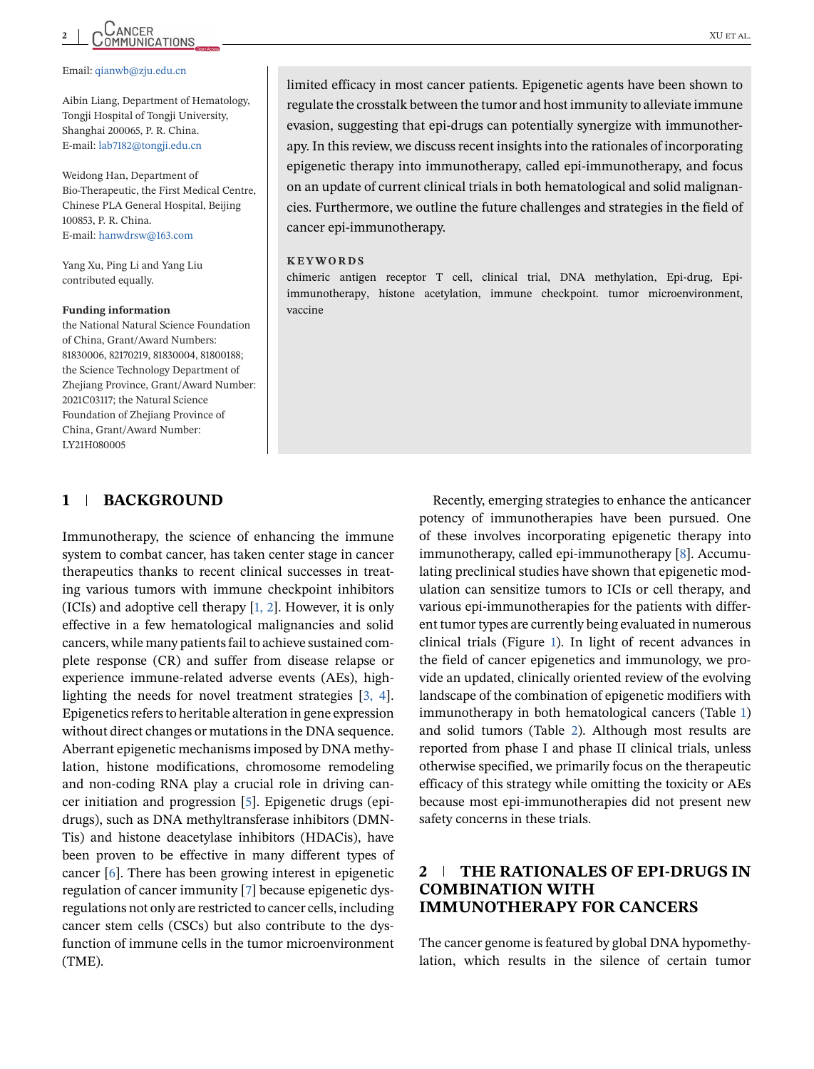# CANCER XU ET AL.

#### Email: [qianwb@zju.edu.cn](mailto:qianwb@zju.edu.cn)

Aibin Liang, Department of Hematology, Tongji Hospital of Tongji University, Shanghai 200065, P. R. China. E-mail: [lab7182@tongji.edu.cn](mailto:lab7182@tongji.edu.cn)

Weidong Han, Department of Bio-Therapeutic, the First Medical Centre, Chinese PLA General Hospital, Beijing 100853, P. R. China. E-mail: [hanwdrsw@163.com](mailto:hanwdrsw@163.com)

Yang Xu, Ping Li and Yang Liu contributed equally.

#### **Funding information**

the National Natural Science Foundation of China, Grant/Award Numbers: 81830006, 82170219, 81830004, 81800188; the Science Technology Department of Zhejiang Province, Grant/Award Number: 2021C03117; the Natural Science Foundation of Zhejiang Province of China, Grant/Award Number: LY21H080005

#### **1 BACKGROUND**

Immunotherapy, the science of enhancing the immune system to combat cancer, has taken center stage in cancer therapeutics thanks to recent clinical successes in treating various tumors with immune checkpoint inhibitors (ICIs) and adoptive cell therapy [\[1, 2\]](#page-16-0). However, it is only effective in a few hematological malignancies and solid cancers, while many patients fail to achieve sustained complete response (CR) and suffer from disease relapse or experience immune-related adverse events (AEs), highlighting the needs for novel treatment strategies [\[3, 4\]](#page-16-0). Epigenetics refers to heritable alteration in gene expression without direct changes or mutations in the DNA sequence. Aberrant epigenetic mechanisms imposed by DNA methylation, histone modifications, chromosome remodeling and non-coding RNA play a crucial role in driving cancer initiation and progression [\[5\]](#page-16-0). Epigenetic drugs (epidrugs), such as DNA methyltransferase inhibitors (DMN-Tis) and histone deacetylase inhibitors (HDACis), have been proven to be effective in many different types of cancer [\[6\]](#page-16-0). There has been growing interest in epigenetic regulation of cancer immunity [\[7\]](#page-16-0) because epigenetic dysregulations not only are restricted to cancer cells, including cancer stem cells (CSCs) but also contribute to the dysfunction of immune cells in the tumor microenvironment (TME).

limited efficacy in most cancer patients. Epigenetic agents have been shown to regulate the crosstalk between the tumor and host immunity to alleviate immune evasion, suggesting that epi-drugs can potentially synergize with immunotherapy. In this review, we discuss recent insights into the rationales of incorporating epigenetic therapy into immunotherapy, called epi-immunotherapy, and focus on an update of current clinical trials in both hematological and solid malignancies. Furthermore, we outline the future challenges and strategies in the field of cancer epi-immunotherapy.

#### **KEYWORDS**

chimeric antigen receptor T cell, clinical trial, DNA methylation, Epi-drug, Epiimmunotherapy, histone acetylation, immune checkpoint. tumor microenvironment, vaccine

> Recently, emerging strategies to enhance the anticancer potency of immunotherapies have been pursued. One of these involves incorporating epigenetic therapy into immunotherapy, called epi-immunotherapy [\[8\]](#page-16-0). Accumulating preclinical studies have shown that epigenetic modulation can sensitize tumors to ICIs or cell therapy, and various epi-immunotherapies for the patients with different tumor types are currently being evaluated in numerous clinical trials (Figure [1\)](#page-2-0). In light of recent advances in the field of cancer epigenetics and immunology, we provide an updated, clinically oriented review of the evolving landscape of the combination of epigenetic modifiers with immunotherapy in both hematological cancers (Table [1\)](#page-3-0) and solid tumors (Table [2\)](#page-5-0). Although most results are reported from phase I and phase II clinical trials, unless otherwise specified, we primarily focus on the therapeutic efficacy of this strategy while omitting the toxicity or AEs because most epi-immunotherapies did not present new safety concerns in these trials.

## **2 THE RATIONALES OF EPI-DRUGS IN COMBINATION WITH IMMUNOTHERAPY FOR CANCERS**

The cancer genome is featured by global DNA hypomethylation, which results in the silence of certain tumor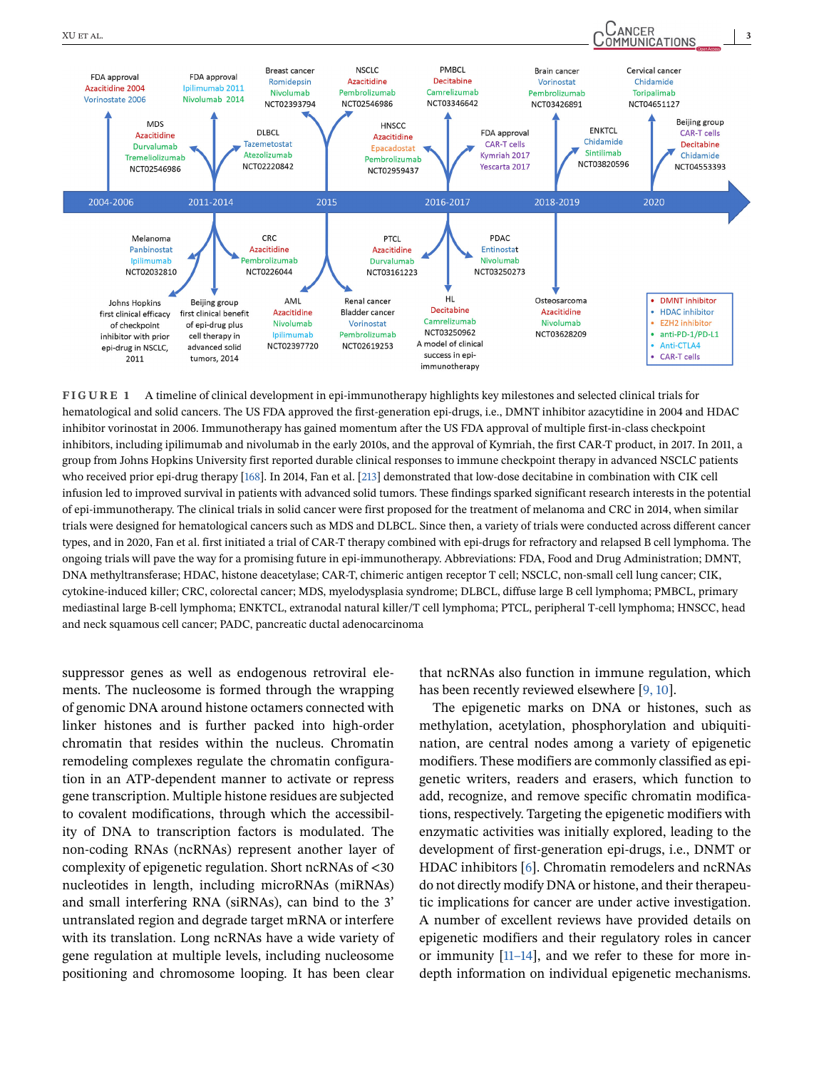<span id="page-2-0"></span>

**FIGURE 1** A timeline of clinical development in epi-immunotherapy highlights key milestones and selected clinical trials for hematological and solid cancers. The US FDA approved the first-generation epi-drugs, i.e., DMNT inhibitor azacytidine in 2004 and HDAC inhibitor vorinostat in 2006. Immunotherapy has gained momentum after the US FDA approval of multiple first-in-class checkpoint inhibitors, including ipilimumab and nivolumab in the early 2010s, and the approval of Kymriah, the first CAR-T product, in 2017. In 2011, a group from Johns Hopkins University first reported durable clinical responses to immune checkpoint therapy in advanced NSCLC patients who received prior epi-drug therapy [\[168\]](#page-21-0). In 2014, Fan et al. [\[213\]](#page-23-0) demonstrated that low-dose decitabine in combination with CIK cell infusion led to improved survival in patients with advanced solid tumors. These findings sparked significant research interests in the potential of epi-immunotherapy. The clinical trials in solid cancer were first proposed for the treatment of melanoma and CRC in 2014, when similar trials were designed for hematological cancers such as MDS and DLBCL. Since then, a variety of trials were conducted across different cancer types, and in 2020, Fan et al. first initiated a trial of CAR-T therapy combined with epi-drugs for refractory and relapsed B cell lymphoma. The ongoing trials will pave the way for a promising future in epi-immunotherapy. Abbreviations: FDA, Food and Drug Administration; DMNT, DNA methyltransferase; HDAC, histone deacetylase; CAR-T, chimeric antigen receptor T cell; NSCLC, non-small cell lung cancer; CIK, cytokine-induced killer; CRC, colorectal cancer; MDS, myelodysplasia syndrome; DLBCL, diffuse large B cell lymphoma; PMBCL, primary mediastinal large B-cell lymphoma; ENKTCL, extranodal natural killer/T cell lymphoma; PTCL, peripheral T-cell lymphoma; HNSCC, head and neck squamous cell cancer; PADC, pancreatic ductal adenocarcinoma

suppressor genes as well as endogenous retroviral elements. The nucleosome is formed through the wrapping of genomic DNA around histone octamers connected with linker histones and is further packed into high-order chromatin that resides within the nucleus. Chromatin remodeling complexes regulate the chromatin configuration in an ATP-dependent manner to activate or repress gene transcription. Multiple histone residues are subjected to covalent modifications, through which the accessibility of DNA to transcription factors is modulated. The non-coding RNAs (ncRNAs) represent another layer of complexity of epigenetic regulation. Short ncRNAs of <30 nucleotides in length, including microRNAs (miRNAs) and small interfering RNA (siRNAs), can bind to the 3' untranslated region and degrade target mRNA or interfere with its translation. Long ncRNAs have a wide variety of gene regulation at multiple levels, including nucleosome positioning and chromosome looping. It has been clear

that ncRNAs also function in immune regulation, which has been recently reviewed elsewhere [\[9, 10\]](#page-16-0).

The epigenetic marks on DNA or histones, such as methylation, acetylation, phosphorylation and ubiquitination, are central nodes among a variety of epigenetic modifiers. These modifiers are commonly classified as epigenetic writers, readers and erasers, which function to add, recognize, and remove specific chromatin modifications, respectively. Targeting the epigenetic modifiers with enzymatic activities was initially explored, leading to the development of first-generation epi-drugs, i.e., DNMT or HDAC inhibitors [\[6\]](#page-16-0). Chromatin remodelers and ncRNAs do not directly modify DNA or histone, and their therapeutic implications for cancer are under active investigation. A number of excellent reviews have provided details on epigenetic modifiers and their regulatory roles in cancer or immunity [\[11–14\]](#page-16-0), and we refer to these for more indepth information on individual epigenetic mechanisms.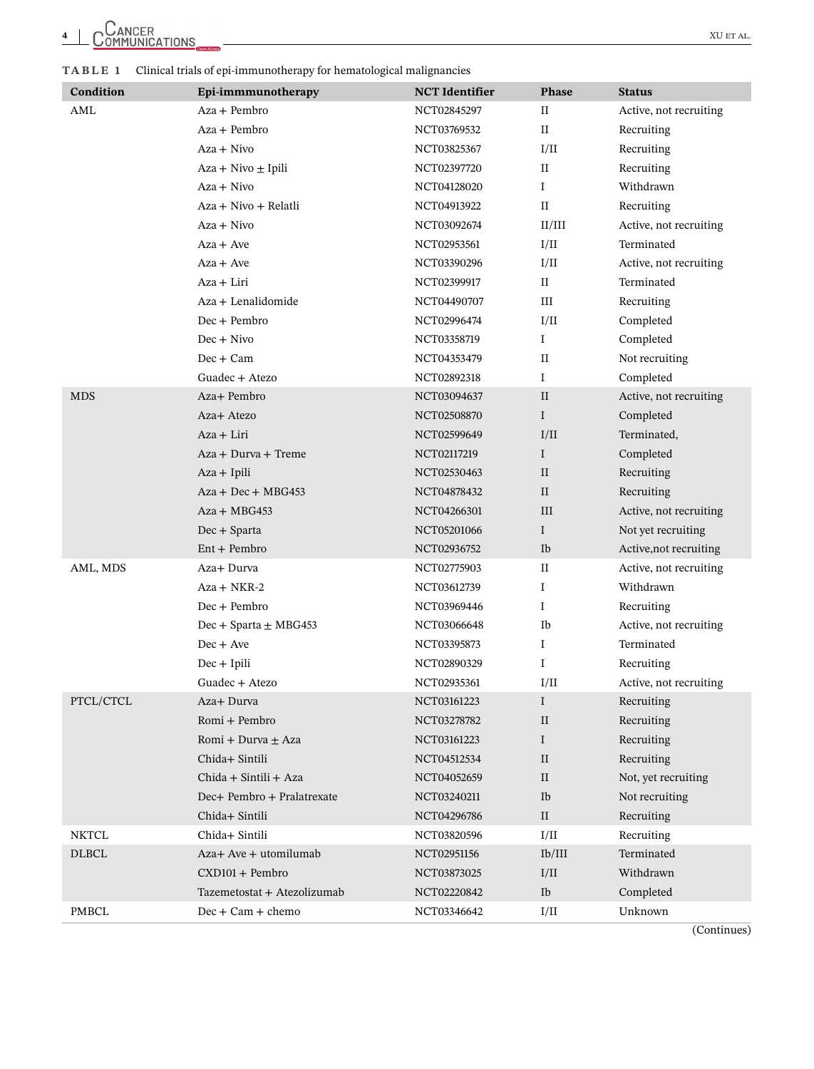<span id="page-3-0"></span>**TABLE 1** Clinical trials of epi-immunotherapy for hematological malignancies

| Condition    | Epi-immmunotherapy          | <b>NCT</b> Identifier | Phase        | <b>Status</b>          |
|--------------|-----------------------------|-----------------------|--------------|------------------------|
| AML          | Aza + Pembro                | NCT02845297           | $_{\rm II}$  | Active, not recruiting |
|              | $Aza + Pembro$              | NCT03769532           | $_{\rm II}$  | Recruiting             |
|              | Aza + Nivo                  | NCT03825367           | I/II         | Recruiting             |
|              | $Aza + Nivo \pm Ipili$      | NCT02397720           | $\rm II$     | Recruiting             |
|              | $Aza + Nivo$                | NCT04128020           | $\mathbf I$  | Withdrawn              |
|              | Aza + Nivo + Relatli        | NCT04913922           | $_{\rm II}$  | Recruiting             |
|              | Aza + Nivo                  | NCT03092674           | II/III       | Active, not recruiting |
|              | $Aza + Ave$                 | NCT02953561           | I/II         | Terminated             |
|              | $Aza + Ave$                 | NCT03390296           | I/II         | Active, not recruiting |
|              | Aza + Liri                  | NCT02399917           | $\rm II$     | Terminated             |
|              | Aza + Lenalidomide          | NCT04490707           | Ш            | Recruiting             |
|              | $Dec + Pembro$              | NCT02996474           | I/II         | Completed              |
|              | $Dec + Nivo$                | NCT03358719           | $\bf{I}$     | Completed              |
|              | $Dec + Cam$                 | NCT04353479           | $_{\rm II}$  | Not recruiting         |
|              | Guadec + Atezo              | NCT02892318           | Ι            | Completed              |
| <b>MDS</b>   | Aza+ Pembro                 | NCT03094637           | $\mathbf{I}$ | Active, not recruiting |
|              | Aza+ Atezo                  | NCT02508870           | $\bf{I}$     | Completed              |
|              | Aza + Liri                  | NCT02599649           | I/II         | Terminated,            |
|              | Aza + Durva + Treme         | NCT02117219           | $\mathbf I$  | Completed              |
|              | $Aza + Ipili$               | NCT02530463           | $\rm II$     | Recruiting             |
|              | $Aza + Dec + MBG453$        | NCT04878432           | $\rm II$     | Recruiting             |
|              | Aza + MBG453                | NCT04266301           | III          | Active, not recruiting |
|              | $Dec + Sparta$              | NCT05201066           | $\mathbf I$  | Not yet recruiting     |
|              | $Ent + Pembro$              | NCT02936752           | Ib           | Active, not recruiting |
| AML, MDS     | Aza+ Durva                  | NCT02775903           | $\rm II$     | Active, not recruiting |
|              | Aza + NKR-2                 | NCT03612739           | Ι.           | Withdrawn              |
|              | $Dec + Pembro$              | NCT03969446           | Ι            | Recruiting             |
|              | $Dec +$ Sparta $\pm$ MBG453 | NCT03066648           | Ib           | Active, not recruiting |
|              | $Dec + Ave$                 | NCT03395873           | $\mathbf I$  | Terminated             |
|              | $Dec + Ipili$               | NCT02890329           | $\bf{I}$     | Recruiting             |
|              | Guadec + Atezo              | NCT02935361           | I/II         | Active, not recruiting |
| PTCL/CTCL    | Aza+ Durva                  | NCT03161223           | $\bf{I}$     | Recruiting             |
|              | Romi + Pembro               | NCT03278782           | $\rm II$     | Recruiting             |
|              | Romi + Durva ± Aza          | NCT03161223           | $\bf{I}$     | Recruiting             |
|              | Chida+ Sintili              | NCT04512534           | $\rm II$     | Recruiting             |
|              | Chida + Sintili + Aza       | NCT04052659           | $\rm II$     | Not, yet recruiting    |
|              | Dec+ Pembro + Pralatrexate  | NCT03240211           | Ib           | Not recruiting         |
|              | Chida+ Sintili              | NCT04296786           | $\rm II$     | Recruiting             |
| <b>NKTCL</b> | Chida+ Sintili              | NCT03820596           | I/II         | Recruiting             |
| <b>DLBCL</b> | Aza+ Ave + utomilumab       | NCT02951156           | Ib/III       | Terminated             |
|              | CXD101 + Pembro             | NCT03873025           | I/II         | Withdrawn              |
|              | Tazemetostat + Atezolizumab | NCT02220842           | Ib           | Completed              |
| <b>PMBCL</b> | $Dec + Cam + chem$          | NCT03346642           | I/II         | Unknown                |

(Continues)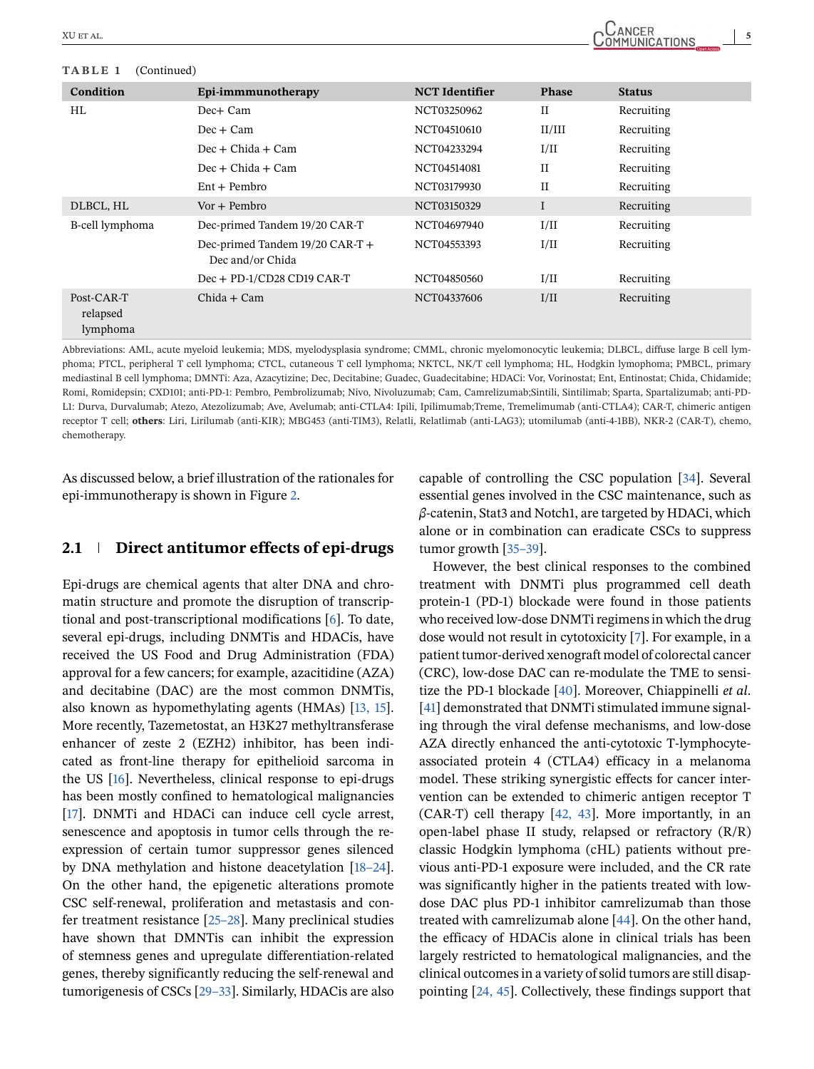#### **TABLE 1** (Continued)

| Epi-immmunotherapy                                  | <b>NCT</b> Identifier | <b>Phase</b> | <b>Status</b> |
|-----------------------------------------------------|-----------------------|--------------|---------------|
| Dec+ Cam                                            | NCT03250962           | $_{\rm II}$  | Recruiting    |
| $Dec + Cam$                                         | NCT04510610           | II/III       | Recruiting    |
| $Dec + Childa + Cam$                                | NCT04233294           | I/II         | Recruiting    |
| $Dec + Childa + Cam$                                | NCT04514081           | $\mathbf{I}$ | Recruiting    |
| $Ent + Pembro$                                      | NCT03179930           | $_{\rm II}$  | Recruiting    |
| $Vor + Pembro$                                      | NCT03150329           | I            | Recruiting    |
| Dec-primed Tandem 19/20 CAR-T                       | NCT04697940           | I/II         | Recruiting    |
| Dec-primed Tandem 19/20 CAR-T +<br>Dec and/or Chida | NCT04553393           | I/II         | Recruiting    |
| Dec + PD-1/CD28 CD19 CAR-T                          | NCT04850560           | I/II         | Recruiting    |
| $Chida + Cam$                                       | NCT04337606           | I/II         | Recruiting    |
|                                                     |                       |              |               |

Abbreviations: AML, acute myeloid leukemia; MDS, myelodysplasia syndrome; CMML, chronic myelomonocytic leukemia; DLBCL, diffuse large B cell lymphoma; PTCL, peripheral T cell lymphoma; CTCL, cutaneous T cell lymphoma; NKTCL, NK/T cell lymphoma; HL, Hodgkin lymophoma; PMBCL, primary mediastinal B cell lymphoma; DMNTi: Aza, Azacytizine; Dec, Decitabine; Guadec, Guadecitabine; HDACi: Vor, Vorinostat; Ent, Entinostat; Chida, Chidamide; Romi, Romidepsin; CXD101; anti-PD-1: Pembro, Pembrolizumab; Nivo, Nivoluzumab; Cam, Camrelizumab;Sintili, Sintilimab; Sparta, Spartalizumab; anti-PD-L1: Durva, Durvalumab; Atezo, Atezolizumab; Ave, Avelumab; anti-CTLA4: Ipili, Ipilimumab;Treme, Tremelimumab (anti-CTLA4); CAR-T, chimeric antigen receptor T cell; **others**: Liri, Lirilumab (anti-KIR); MBG453 (anti-TIM3), Relatli, Relatlimab (anti-LAG3); utomilumab (anti-4-1BB), NKR-2 (CAR-T), chemo, chemotherapy.

As discussed below, a brief illustration of the rationales for epi-immunotherapy is shown in Figure [2.](#page-7-0)

#### **2.1 Direct antitumor effects of epi-drugs**

Epi-drugs are chemical agents that alter DNA and chromatin structure and promote the disruption of transcriptional and post-transcriptional modifications [\[6\]](#page-16-0). To date, several epi-drugs, including DNMTis and HDACis, have received the US Food and Drug Administration (FDA) approval for a few cancers; for example, azacitidine (AZA) and decitabine (DAC) are the most common DNMTis, also known as hypomethylating agents (HMAs) [\[13, 15\]](#page-16-0). More recently, Tazemetostat, an H3K27 methyltransferase enhancer of zeste 2 (EZH2) inhibitor, has been indicated as front-line therapy for epithelioid sarcoma in the US [\[16\]](#page-16-0). Nevertheless, clinical response to epi-drugs has been mostly confined to hematological malignancies [\[17\]](#page-16-0). DNMTi and HDACi can induce cell cycle arrest, senescence and apoptosis in tumor cells through the reexpression of certain tumor suppressor genes silenced by DNA methylation and histone deacetylation [\[18–24\]](#page-16-0). On the other hand, the epigenetic alterations promote CSC self-renewal, proliferation and metastasis and confer treatment resistance [\[25–28\]](#page-16-0). Many preclinical studies have shown that DMNTis can inhibit the expression of stemness genes and upregulate differentiation-related genes, thereby significantly reducing the self-renewal and tumorigenesis of CSCs [\[29–33\]](#page-16-0). Similarly, HDACis are also

capable of controlling the CSC population [\[34\]](#page-17-0). Several essential genes involved in the CSC maintenance, such as *β*-catenin, Stat3 and Notch1, are targeted by HDACi, which alone or in combination can eradicate CSCs to suppress tumor growth [\[35–39\]](#page-17-0).

However, the best clinical responses to the combined treatment with DNMTi plus programmed cell death protein-1 (PD-1) blockade were found in those patients who received low-dose DNMTi regimens in which the drug dose would not result in cytotoxicity [\[7\]](#page-16-0). For example, in a patient tumor-derived xenograft model of colorectal cancer (CRC), low-dose DAC can re-modulate the TME to sensitize the PD-1 blockade [\[40\]](#page-17-0). Moreover, Chiappinelli *et al*. [\[41\]](#page-17-0) demonstrated that DNMTi stimulated immune signaling through the viral defense mechanisms, and low-dose AZA directly enhanced the anti-cytotoxic T-lymphocyteassociated protein 4 (CTLA4) efficacy in a melanoma model. These striking synergistic effects for cancer intervention can be extended to chimeric antigen receptor T (CAR-T) cell therapy [\[42, 43\]](#page-17-0). More importantly, in an open-label phase II study, relapsed or refractory (R/R) classic Hodgkin lymphoma (cHL) patients without previous anti-PD-1 exposure were included, and the CR rate was significantly higher in the patients treated with lowdose DAC plus PD-1 inhibitor camrelizumab than those treated with camrelizumab alone [\[44\]](#page-17-0). On the other hand, the efficacy of HDACis alone in clinical trials has been largely restricted to hematological malignancies, and the clinical outcomes in a variety of solid tumors are still disappointing [\[24, 45\]](#page-16-0). Collectively, these findings support that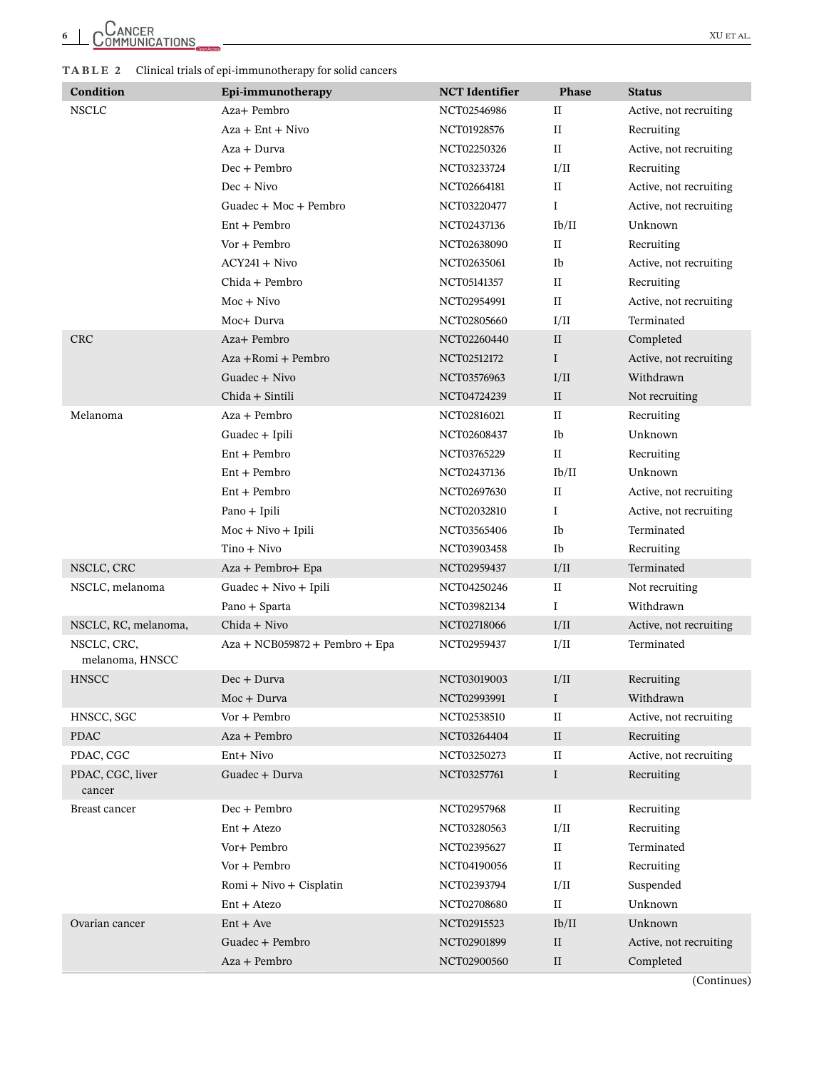#### <span id="page-5-0"></span>**TABLE 2** Clinical trials of epi-immunotherapy for solid cancers

| Condition                      | Epi-immunotherapy              | <b>NCT</b> Identifier | Phase        | <b>Status</b>          |
|--------------------------------|--------------------------------|-----------------------|--------------|------------------------|
| <b>NSCLC</b>                   | Aza+ Pembro                    | NCT02546986           | $_{\rm II}$  | Active, not recruiting |
|                                | $Aza + Ent + Nivo$             | NCT01928576           | $_{\rm II}$  | Recruiting             |
|                                | Aza + Durva                    | NCT02250326           | $\rm II$     | Active, not recruiting |
|                                | $Dec + Pembro$                 | NCT03233724           | I/II         | Recruiting             |
|                                | $Dec + Nivo$                   | NCT02664181           | $_{\rm II}$  | Active, not recruiting |
|                                | Guadec + Moc + Pembro          | NCT03220477           | $\mathbf I$  | Active, not recruiting |
|                                | $Ent + Pembro$                 | NCT02437136           | Ib/II        | Unknown                |
|                                | Vor + Pembro                   | NCT02638090           | $_{\rm II}$  | Recruiting             |
|                                | $ACY241 + Nivo$                | NCT02635061           | Ib           | Active, not recruiting |
|                                | Chida + Pembro                 | NCT05141357           | $_{\rm II}$  | Recruiting             |
|                                | $Moc + Nivo$                   | NCT02954991           | $_{\rm II}$  | Active, not recruiting |
|                                | Moc+ Durva                     | NCT02805660           | I/II         | Terminated             |
| <b>CRC</b>                     | Aza+ Pembro                    | NCT02260440           | $\rm II$     | Completed              |
|                                | Aza +Romi + Pembro             | NCT02512172           | I            | Active, not recruiting |
|                                | Guadec + Nivo                  | NCT03576963           | I/II         | Withdrawn              |
|                                | Chida + Sintili                | NCT04724239           | $\rm II$     | Not recruiting         |
| Melanoma                       | Aza + Pembro                   | NCT02816021           | $_{\rm II}$  | Recruiting             |
|                                | Guadec + Ipili                 | NCT02608437           | Ib           | Unknown                |
|                                | $Ent + Pembro$                 | NCT03765229           | $\rm II$     | Recruiting             |
|                                | $Ent + Pembro$                 | NCT02437136           | Ib/II        | Unknown                |
|                                | $Ent + Pembro$                 | NCT02697630           | $_{\rm II}$  | Active, not recruiting |
|                                | Pano + Ipili                   | NCT02032810           | $\mathbf{I}$ | Active, not recruiting |
|                                | $Moc + Nivo + Ipili$           | NCT03565406           | Ib           | Terminated             |
|                                | Tino + Nivo                    | NCT03903458           | Ib           | Recruiting             |
| NSCLC, CRC                     | Aza + Pembro+ Epa              | NCT02959437           | I/II         | Terminated             |
| NSCLC, melanoma                | Guadec + Nivo + Ipili          | NCT04250246           | П            | Not recruiting         |
|                                | Pano + Sparta                  | NCT03982134           | $\mathbf I$  | Withdrawn              |
| NSCLC, RC, melanoma,           | Chida + Nivo                   | NCT02718066           | I/II         | Active, not recruiting |
| NSCLC, CRC,<br>melanoma, HNSCC | Aza + NCB059872 + Pembro + Epa | NCT02959437           | I/II         | Terminated             |
| <b>HNSCC</b>                   | Dec + Durva                    | NCT03019003           | I/II         | Recruiting             |
|                                | Moc + Durva                    | NCT02993991           | $\bf{I}$     | Withdrawn              |
| HNSCC, SGC                     | Vor + Pembro                   | NCT02538510           | $\rm II$     | Active, not recruiting |
| <b>PDAC</b>                    | Aza + Pembro                   | NCT03264404           | $\rm II$     | Recruiting             |
| PDAC, CGC                      | Ent+ Nivo                      | NCT03250273           | $\rm II$     | Active, not recruiting |
| PDAC, CGC, liver<br>cancer     | Guadec + Durva                 | NCT03257761           | $\bf{I}$     | Recruiting             |
| Breast cancer                  | Dec + Pembro                   | NCT02957968           | $_{\rm II}$  | Recruiting             |
|                                | $Ent + Atezo$                  | NCT03280563           | I/II         | Recruiting             |
|                                | Vor+ Pembro                    | NCT02395627           | $\rm II$     | Terminated             |
|                                | Vor + Pembro                   | NCT04190056           | $_{\rm II}$  | Recruiting             |
|                                | Romi + Nivo + Cisplatin        | NCT02393794           | I/II         | Suspended              |
|                                | $Ent + Atezo$                  | NCT02708680           | $\rm II$     | Unknown                |
| Ovarian cancer                 | $Ent + Ave$                    | NCT02915523           | Ib/II        | Unknown                |
|                                | Guadec + Pembro                | NCT02901899           | $\rm II$     | Active, not recruiting |
|                                | Aza + Pembro                   | NCT02900560           | $\rm II$     | Completed              |

(Continues)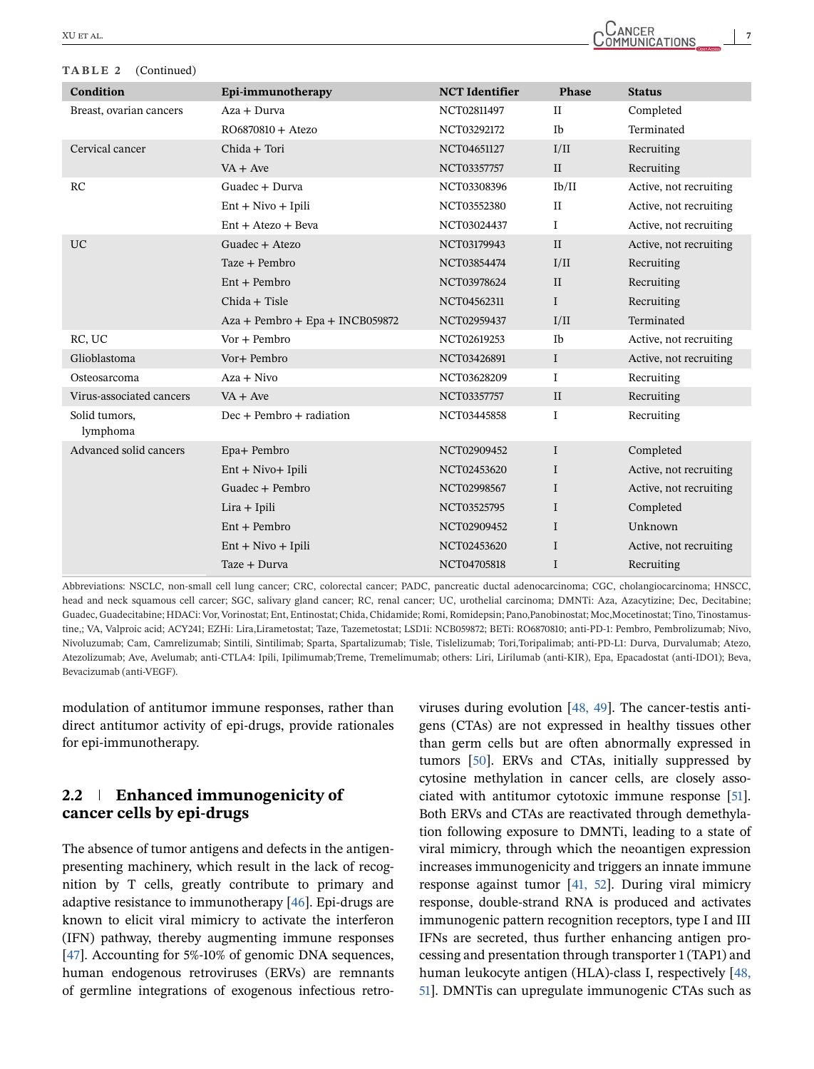#### **TABLE 2** (Continued)

| Condition                 | Epi-immunotherapy                 | <b>NCT</b> Identifier | Phase        | <b>Status</b>          |
|---------------------------|-----------------------------------|-----------------------|--------------|------------------------|
| Breast, ovarian cancers   | Aza + Durva                       | NCT02811497           | $\mathbf{I}$ | Completed              |
|                           | RO6870810 + Atezo                 | NCT03292172           | Ib           | Terminated             |
| Cervical cancer           | Chida + Tori                      | NCT04651127           | I/II         | Recruiting             |
|                           | $VA + Ave$                        | NCT03357757           | $\rm II$     | Recruiting             |
| RC                        | Guadec + Durva                    | NCT03308396           | Ib/II        | Active, not recruiting |
|                           | $Ent + Nivo + Ipili$              | NCT03552380           | $\rm II$     | Active, not recruiting |
|                           | $Ent + Atezo + Beva$              | NCT03024437           | $\mathbf{I}$ | Active, not recruiting |
| <b>UC</b>                 | Guadec + Atezo                    | NCT03179943           | II           | Active, not recruiting |
|                           | Taze + Pembro                     | NCT03854474           | I/II         | Recruiting             |
|                           | $Ent + Pembro$                    | NCT03978624           | $\mathbf{I}$ | Recruiting             |
|                           | Chida + Tisle                     | NCT04562311           | $\mathbf I$  | Recruiting             |
|                           | $Aza + Pembro + Epa + INCB059872$ | NCT02959437           | I/II         | Terminated             |
| RC, UC                    | $Vor + Pembro$                    | NCT02619253           | Ib           | Active, not recruiting |
| Glioblastoma              | Vor+ Pembro                       | NCT03426891           | $\mathbf I$  | Active, not recruiting |
| Osteosarcoma              | $Aza + Nivo$                      | NCT03628209           | $\mathbf I$  | Recruiting             |
| Virus-associated cancers  | $VA + Ave$                        | NCT03357757           | $\mathbf{I}$ | Recruiting             |
| Solid tumors,<br>lymphoma | $Dec + Pembro + radiation$        | NCT03445858           | $\mathbf I$  | Recruiting             |
| Advanced solid cancers    | Epa+ Pembro                       | NCT02909452           | $\mathbf I$  | Completed              |
|                           | $Ent + Nivo + Ipili$              | NCT02453620           | $\mathbf I$  | Active, not recruiting |
|                           | Guadec + Pembro                   | NCT02998567           | $\mathbf I$  | Active, not recruiting |
|                           | $Lira + Ipili$                    | NCT03525795           | $\mathbf{I}$ | Completed              |
|                           | $Ent + Pembro$                    | NCT02909452           | $\mathbf{I}$ | Unknown                |
|                           | $Ent + Nivo + Ipili$              | NCT02453620           | $\mathbf{I}$ | Active, not recruiting |
|                           | Taze + Durva                      | NCT04705818           | I            | Recruiting             |

Abbreviations: NSCLC, non-small cell lung cancer; CRC, colorectal cancer; PADC, pancreatic ductal adenocarcinoma; CGC, cholangiocarcinoma; HNSCC, head and neck squamous cell carcer; SGC, salivary gland cancer; RC, renal cancer; UC, urothelial carcinoma; DMNTi: Aza, Azacytizine; Dec, Decitabine; Guadec, Guadecitabine; HDACi: Vor, Vorinostat; Ent, Entinostat; Chida, Chidamide; Romi, Romidepsin; Pano,Panobinostat; Moc,Mocetinostat; Tino, Tinostamustine,; VA, Valproic acid; ACY241; EZHi: Lira,Lirametostat; Taze, Tazemetostat; LSD1i: NCB059872; BETi: RO6870810; anti-PD-1: Pembro, Pembrolizumab; Nivo, Nivoluzumab; Cam, Camrelizumab; Sintili, Sintilimab; Sparta, Spartalizumab; Tisle, Tislelizumab; Tori,Toripalimab; anti-PD-L1: Durva, Durvalumab; Atezo, Atezolizumab; Ave, Avelumab; anti-CTLA4: Ipili, Ipilimumab;Treme, Tremelimumab; others: Liri, Lirilumab (anti-KIR), Epa, Epacadostat (anti-IDO1); Beva, Bevacizumab (anti-VEGF).

modulation of antitumor immune responses, rather than direct antitumor activity of epi-drugs, provide rationales for epi-immunotherapy.

## **2.2 Enhanced immunogenicity of cancer cells by epi-drugs**

The absence of tumor antigens and defects in the antigenpresenting machinery, which result in the lack of recognition by T cells, greatly contribute to primary and adaptive resistance to immunotherapy [\[46\]](#page-17-0). Epi-drugs are known to elicit viral mimicry to activate the interferon (IFN) pathway, thereby augmenting immune responses [\[47\]](#page-17-0). Accounting for 5%-10% of genomic DNA sequences, human endogenous retroviruses (ERVs) are remnants of germline integrations of exogenous infectious retroviruses during evolution [\[48, 49\]](#page-17-0). The cancer-testis antigens (CTAs) are not expressed in healthy tissues other than germ cells but are often abnormally expressed in tumors [\[50\]](#page-17-0). ERVs and CTAs, initially suppressed by cytosine methylation in cancer cells, are closely associated with antitumor cytotoxic immune response [\[51\]](#page-17-0). Both ERVs and CTAs are reactivated through demethylation following exposure to DMNTi, leading to a state of viral mimicry, through which the neoantigen expression increases immunogenicity and triggers an innate immune response against tumor [\[41, 52\]](#page-17-0). During viral mimicry response, double-strand RNA is produced and activates immunogenic pattern recognition receptors, type I and III IFNs are secreted, thus further enhancing antigen processing and presentation through transporter 1 (TAP1) and human leukocyte antigen (HLA)-class I, respectively [\[48,](#page-17-0) [51\]](#page-17-0). DMNTis can upregulate immunogenic CTAs such as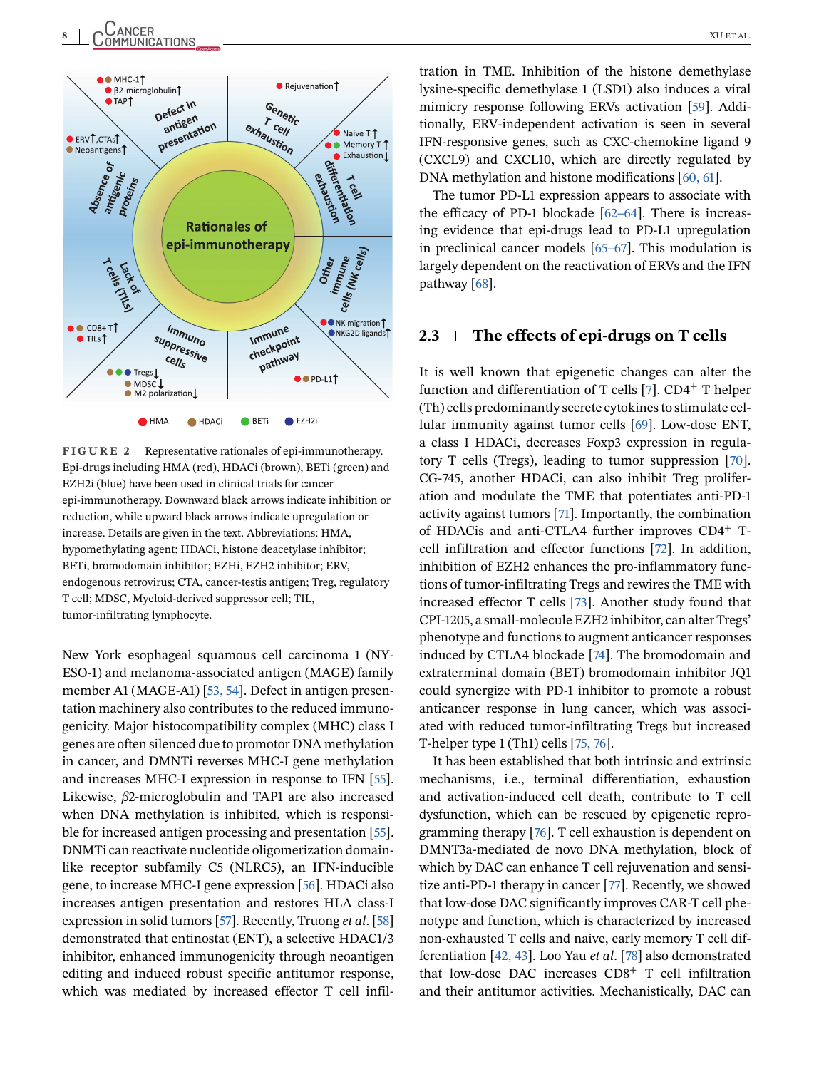<span id="page-7-0"></span>

**FIGURE 2** Representative rationales of epi-immunotherapy. Epi-drugs including HMA (red), HDACi (brown), BETi (green) and EZH2i (blue) have been used in clinical trials for cancer epi-immunotherapy. Downward black arrows indicate inhibition or reduction, while upward black arrows indicate upregulation or increase. Details are given in the text. Abbreviations: HMA, hypomethylating agent; HDACi, histone deacetylase inhibitor; BETi, bromodomain inhibitor; EZHi, EZH2 inhibitor; ERV, endogenous retrovirus; CTA, cancer-testis antigen; Treg, regulatory T cell; MDSC, Myeloid-derived suppressor cell; TIL, tumor-infiltrating lymphocyte.

New York esophageal squamous cell carcinoma 1 (NY-ESO-1) and melanoma-associated antigen (MAGE) family member A1 (MAGE-A1) [\[53, 54\]](#page-17-0). Defect in antigen presentation machinery also contributes to the reduced immunogenicity. Major histocompatibility complex (MHC) class I genes are often silenced due to promotor DNA methylation in cancer, and DMNTi reverses MHC-I gene methylation and increases MHC-I expression in response to IFN [\[55\]](#page-17-0). Likewise, *β*2-microglobulin and TAP1 are also increased when DNA methylation is inhibited, which is responsible for increased antigen processing and presentation [\[55\]](#page-17-0). DNMTi can reactivate nucleotide oligomerization domainlike receptor subfamily C5 (NLRC5), an IFN-inducible gene, to increase MHC-I gene expression [\[56\]](#page-17-0). HDACi also increases antigen presentation and restores HLA class-I expression in solid tumors [\[57\]](#page-17-0). Recently, Truong *et al*. [\[58\]](#page-17-0) demonstrated that entinostat (ENT), a selective HDAC1/3 inhibitor, enhanced immunogenicity through neoantigen editing and induced robust specific antitumor response, which was mediated by increased effector T cell infil-

tration in TME. Inhibition of the histone demethylase lysine-specific demethylase 1 (LSD1) also induces a viral mimicry response following ERVs activation [\[59\]](#page-17-0). Additionally, ERV-independent activation is seen in several IFN-responsive genes, such as CXC-chemokine ligand 9 (CXCL9) and CXCL10, which are directly regulated by DNA methylation and histone modifications [\[60, 61\]](#page-17-0).

The tumor PD-L1 expression appears to associate with the efficacy of PD-1 blockade [\[62–64\]](#page-17-0). There is increasing evidence that epi-drugs lead to PD-L1 upregulation in preclinical cancer models [\[65–67\]](#page-18-0). This modulation is largely dependent on the reactivation of ERVs and the IFN pathway [\[68\]](#page-18-0).

#### **2.3 The effects of epi-drugs on T cells**

It is well known that epigenetic changes can alter the function and differentiation of T cells [\[7\]](#page-16-0).  $CD4<sup>+</sup>$  T helper (Th) cells predominantly secrete cytokines to stimulate cellular immunity against tumor cells [\[69\]](#page-18-0). Low-dose ENT, a class I HDACi, decreases Foxp3 expression in regulatory T cells (Tregs), leading to tumor suppression [\[70\]](#page-18-0). CG-745, another HDACi, can also inhibit Treg proliferation and modulate the TME that potentiates anti-PD-1 activity against tumors [\[71\]](#page-18-0). Importantly, the combination of HDACis and anti-CTLA4 further improves CD4<sup>+</sup> Tcell infiltration and effector functions [\[72\]](#page-18-0). In addition, inhibition of EZH2 enhances the pro-inflammatory functions of tumor-infiltrating Tregs and rewires the TME with increased effector T cells [\[73\]](#page-18-0). Another study found that CPI-1205, a small-molecule EZH2 inhibitor, can alter Tregs' phenotype and functions to augment anticancer responses induced by CTLA4 blockade [\[74\]](#page-18-0). The bromodomain and extraterminal domain (BET) bromodomain inhibitor JQ1 could synergize with PD-1 inhibitor to promote a robust anticancer response in lung cancer, which was associated with reduced tumor-infiltrating Tregs but increased T-helper type 1 (Th1) cells [\[75, 76\]](#page-18-0).

It has been established that both intrinsic and extrinsic mechanisms, i.e., terminal differentiation, exhaustion and activation-induced cell death, contribute to T cell dysfunction, which can be rescued by epigenetic reprogramming therapy [\[76\]](#page-18-0). T cell exhaustion is dependent on DMNT3a-mediated de novo DNA methylation, block of which by DAC can enhance T cell rejuvenation and sensitize anti-PD-1 therapy in cancer [\[77\]](#page-18-0). Recently, we showed that low-dose DAC significantly improves CAR-T cell phenotype and function, which is characterized by increased non-exhausted T cells and naive, early memory T cell differentiation [\[42, 43\]](#page-17-0). Loo Yau *et al*. [\[78\]](#page-18-0) also demonstrated that low-dose DAC increases  $CD8<sup>+</sup>$  T cell infiltration and their antitumor activities. Mechanistically, DAC can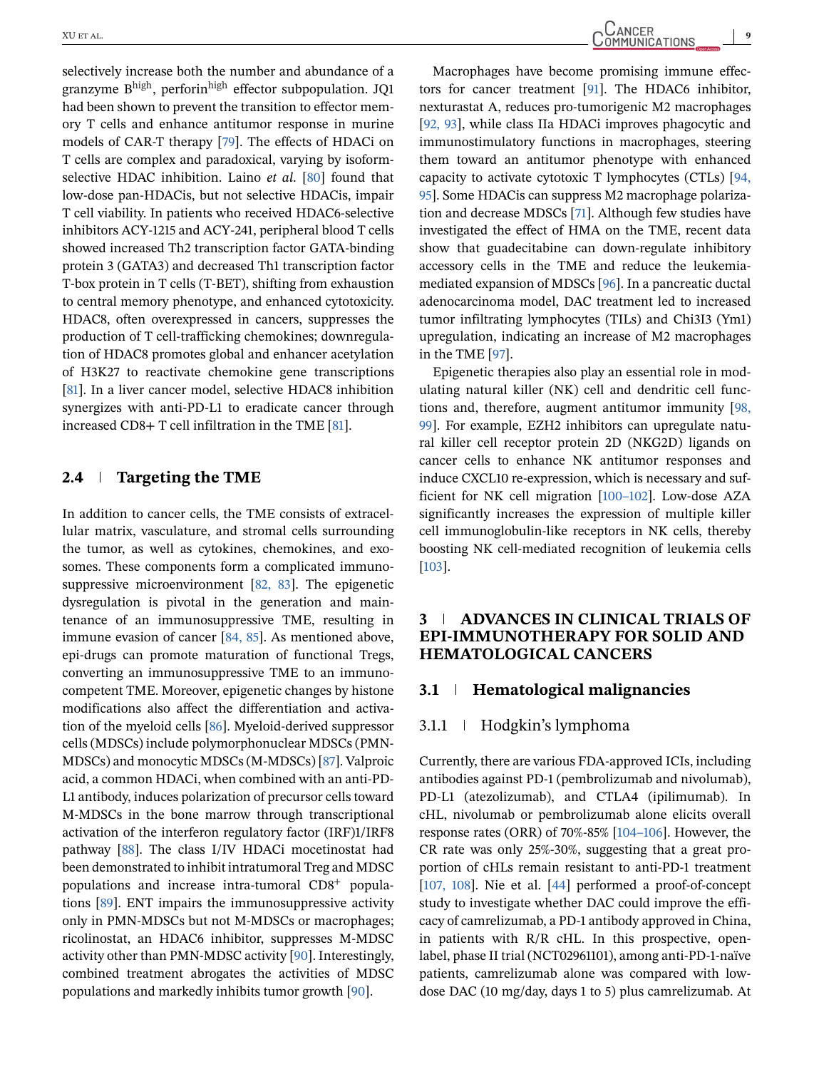selectively increase both the number and abundance of a granzyme B<sup>high</sup>, perforin<sup>high</sup> effector subpopulation. JO1 had been shown to prevent the transition to effector memory T cells and enhance antitumor response in murine models of CAR-T therapy [\[79\]](#page-18-0). The effects of HDACi on T cells are complex and paradoxical, varying by isoformselective HDAC inhibition. Laino *et al*. [\[80\]](#page-18-0) found that low-dose pan-HDACis, but not selective HDACis, impair T cell viability. In patients who received HDAC6-selective inhibitors ACY-1215 and ACY-241, peripheral blood T cells showed increased Th2 transcription factor GATA-binding protein 3 (GATA3) and decreased Th1 transcription factor T-box protein in T cells (T-BET), shifting from exhaustion to central memory phenotype, and enhanced cytotoxicity. HDAC8, often overexpressed in cancers, suppresses the production of T cell-trafficking chemokines; downregulation of HDAC8 promotes global and enhancer acetylation of H3K27 to reactivate chemokine gene transcriptions [\[81\]](#page-18-0). In a liver cancer model, selective HDAC8 inhibition synergizes with anti-PD-L1 to eradicate cancer through increased CD8+ T cell infiltration in the TME [\[81\]](#page-18-0).

#### **2.4 Targeting the TME**

In addition to cancer cells, the TME consists of extracellular matrix, vasculature, and stromal cells surrounding the tumor, as well as cytokines, chemokines, and exosomes. These components form a complicated immunosuppressive microenvironment [\[82, 83\]](#page-18-0). The epigenetic dysregulation is pivotal in the generation and maintenance of an immunosuppressive TME, resulting in immune evasion of cancer [\[84, 85\]](#page-18-0). As mentioned above, epi-drugs can promote maturation of functional Tregs, converting an immunosuppressive TME to an immunocompetent TME. Moreover, epigenetic changes by histone modifications also affect the differentiation and activation of the myeloid cells [\[86\]](#page-18-0). Myeloid-derived suppressor cells (MDSCs) include polymorphonuclear MDSCs (PMN-MDSCs) and monocytic MDSCs (M-MDSCs) [\[87\]](#page-18-0). Valproic acid, a common HDACi, when combined with an anti-PD-L1 antibody, induces polarization of precursor cells toward M-MDSCs in the bone marrow through transcriptional activation of the interferon regulatory factor (IRF)1/IRF8 pathway [\[88\]](#page-18-0). The class I/IV HDACi mocetinostat had been demonstrated to inhibit intratumoral Treg and MDSC populations and increase intra-tumoral CD8<sup>+</sup> populations [\[89\]](#page-18-0). ENT impairs the immunosuppressive activity only in PMN-MDSCs but not M-MDSCs or macrophages; ricolinostat, an HDAC6 inhibitor, suppresses M-MDSC activity other than PMN-MDSC activity [\[90\]](#page-18-0). Interestingly, combined treatment abrogates the activities of MDSC populations and markedly inhibits tumor growth [\[90\]](#page-18-0).

Macrophages have become promising immune effectors for cancer treatment [\[91\]](#page-18-0). The HDAC6 inhibitor, nexturastat A, reduces pro-tumorigenic M2 macrophages [\[92, 93\]](#page-18-0), while class IIa HDACi improves phagocytic and immunostimulatory functions in macrophages, steering them toward an antitumor phenotype with enhanced capacity to activate cytotoxic T lymphocytes (CTLs) [\[94,](#page-19-0) [95\]](#page-19-0). Some HDACis can suppress M2 macrophage polarization and decrease MDSCs [\[71\]](#page-18-0). Although few studies have investigated the effect of HMA on the TME, recent data show that guadecitabine can down-regulate inhibitory accessory cells in the TME and reduce the leukemiamediated expansion of MDSCs [\[96\]](#page-19-0). In a pancreatic ductal adenocarcinoma model, DAC treatment led to increased tumor infiltrating lymphocytes (TILs) and Chi3I3 (Ym1) upregulation, indicating an increase of M2 macrophages in the TME [\[97\]](#page-19-0).

Epigenetic therapies also play an essential role in modulating natural killer (NK) cell and dendritic cell functions and, therefore, augment antitumor immunity [\[98,](#page-19-0) [99\]](#page-19-0). For example, EZH2 inhibitors can upregulate natural killer cell receptor protein 2D (NKG2D) ligands on cancer cells to enhance NK antitumor responses and induce CXCL10 re-expression, which is necessary and sufficient for NK cell migration [\[100–102\]](#page-19-0). Low-dose AZA significantly increases the expression of multiple killer cell immunoglobulin-like receptors in NK cells, thereby boosting NK cell-mediated recognition of leukemia cells [\[103\]](#page-19-0).

## **3 ADVANCES IN CLINICAL TRIALS OF EPI-IMMUNOTHERAPY FOR SOLID AND HEMATOLOGICAL CANCERS**

#### **3.1 Hematological malignancies**

#### 3.1.1 Hodgkin's lymphoma

Currently, there are various FDA-approved ICIs, including antibodies against PD-1 (pembrolizumab and nivolumab), PD-L1 (atezolizumab), and CTLA4 (ipilimumab). In cHL, nivolumab or pembrolizumab alone elicits overall response rates (ORR) of 70%-85% [\[104–106\]](#page-19-0). However, the CR rate was only 25%-30%, suggesting that a great proportion of cHLs remain resistant to anti-PD-1 treatment [\[107, 108\]](#page-19-0). Nie et al. [\[44\]](#page-17-0) performed a proof-of-concept study to investigate whether DAC could improve the efficacy of camrelizumab, a PD-1 antibody approved in China, in patients with R/R cHL. In this prospective, openlabel, phase II trial (NCT02961101), among anti-PD-1-naïve patients, camrelizumab alone was compared with lowdose DAC (10 mg/day, days 1 to 5) plus camrelizumab. At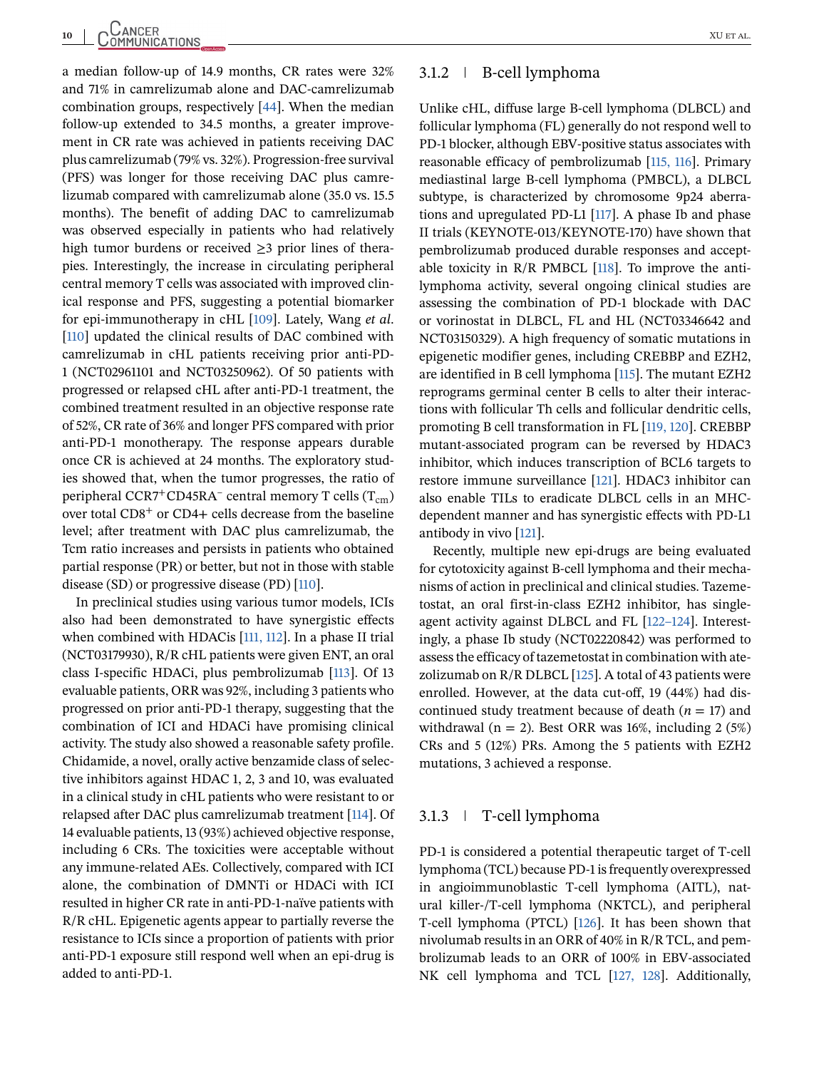a median follow-up of 14.9 months, CR rates were 32% and 71% in camrelizumab alone and DAC-camrelizumab combination groups, respectively [\[44\]](#page-17-0). When the median follow-up extended to 34.5 months, a greater improvement in CR rate was achieved in patients receiving DAC plus camrelizumab (79% vs. 32%). Progression-free survival (PFS) was longer for those receiving DAC plus camrelizumab compared with camrelizumab alone (35.0 vs. 15.5 months). The benefit of adding DAC to camrelizumab was observed especially in patients who had relatively high tumor burdens or received  $\geq$ 3 prior lines of therapies. Interestingly, the increase in circulating peripheral central memory T cells was associated with improved clinical response and PFS, suggesting a potential biomarker for epi-immunotherapy in cHL [\[109\]](#page-19-0). Lately, Wang *et al*. [\[110\]](#page-19-0) updated the clinical results of DAC combined with camrelizumab in cHL patients receiving prior anti-PD-1 (NCT02961101 and NCT03250962). Of 50 patients with progressed or relapsed cHL after anti-PD-1 treatment, the combined treatment resulted in an objective response rate of 52%, CR rate of 36% and longer PFS compared with prior anti-PD-1 monotherapy. The response appears durable once CR is achieved at 24 months. The exploratory studies showed that, when the tumor progresses, the ratio of peripheral CCR7<sup>+</sup>CD45RA<sup>–</sup> central memory T cells  $(T_{cm})$ over total CD8<sup>+</sup> or CD4+ cells decrease from the baseline level; after treatment with DAC plus camrelizumab, the Tcm ratio increases and persists in patients who obtained partial response (PR) or better, but not in those with stable disease (SD) or progressive disease (PD) [\[110\]](#page-19-0).

In preclinical studies using various tumor models, ICIs also had been demonstrated to have synergistic effects when combined with HDACis [\[111, 112\]](#page-19-0). In a phase II trial (NCT03179930), R/R cHL patients were given ENT, an oral class I-specific HDACi, plus pembrolizumab [\[113\]](#page-19-0). Of 13 evaluable patients, ORR was 92%, including 3 patients who progressed on prior anti-PD-1 therapy, suggesting that the combination of ICI and HDACi have promising clinical activity. The study also showed a reasonable safety profile. Chidamide, a novel, orally active benzamide class of selective inhibitors against HDAC 1, 2, 3 and 10, was evaluated in a clinical study in cHL patients who were resistant to or relapsed after DAC plus camrelizumab treatment [\[114\]](#page-19-0). Of 14 evaluable patients, 13 (93%) achieved objective response, including 6 CRs. The toxicities were acceptable without any immune-related AEs. Collectively, compared with ICI alone, the combination of DMNTi or HDACi with ICI resulted in higher CR rate in anti-PD-1-naïve patients with R/R cHL. Epigenetic agents appear to partially reverse the resistance to ICIs since a proportion of patients with prior anti-PD-1 exposure still respond well when an epi-drug is added to anti-PD-1.

#### 3.1.2 B-cell lymphoma

Unlike cHL, diffuse large B-cell lymphoma (DLBCL) and follicular lymphoma (FL) generally do not respond well to PD-1 blocker, although EBV-positive status associates with reasonable efficacy of pembrolizumab [\[115, 116\]](#page-19-0). Primary mediastinal large B-cell lymphoma (PMBCL), a DLBCL subtype, is characterized by chromosome 9p24 aberrations and upregulated PD-L1 [\[117\]](#page-19-0). A phase Ib and phase II trials (KEYNOTE-013/KEYNOTE-170) have shown that pembrolizumab produced durable responses and acceptable toxicity in  $R/R$  PMBCL [\[118\]](#page-19-0). To improve the antilymphoma activity, several ongoing clinical studies are assessing the combination of PD-1 blockade with DAC or vorinostat in DLBCL, FL and HL (NCT03346642 and NCT03150329). A high frequency of somatic mutations in epigenetic modifier genes, including CREBBP and EZH2, are identified in B cell lymphoma [\[115\]](#page-19-0). The mutant EZH2 reprograms germinal center B cells to alter their interactions with follicular Th cells and follicular dendritic cells, promoting B cell transformation in FL [\[119, 120\]](#page-19-0). CREBBP mutant-associated program can be reversed by HDAC3 inhibitor, which induces transcription of BCL6 targets to restore immune surveillance [\[121\]](#page-19-0). HDAC3 inhibitor can also enable TILs to eradicate DLBCL cells in an MHCdependent manner and has synergistic effects with PD-L1 antibody in vivo [\[121\]](#page-19-0).

Recently, multiple new epi-drugs are being evaluated for cytotoxicity against B-cell lymphoma and their mechanisms of action in preclinical and clinical studies. Tazemetostat, an oral first-in-class EZH2 inhibitor, has singleagent activity against DLBCL and FL [\[122–124\]](#page-19-0). Interestingly, a phase Ib study (NCT02220842) was performed to assess the efficacy of tazemetostat in combination with atezolizumab on  $R/R$  DLBCL [\[125\]](#page-20-0). A total of 43 patients were enrolled. However, at the data cut-off, 19 (44%) had discontinued study treatment because of death  $(n = 17)$  and withdrawal ( $n = 2$ ). Best ORR was 16%, including 2 (5%) CRs and 5 (12%) PRs. Among the 5 patients with EZH2 mutations, 3 achieved a response.

#### 3.1.3 T-cell lymphoma

PD-1 is considered a potential therapeutic target of T-cell lymphoma (TCL) because PD-1 is frequently overexpressed in angioimmunoblastic T-cell lymphoma (AITL), natural killer-/T-cell lymphoma (NKTCL), and peripheral T-cell lymphoma (PTCL) [\[126\]](#page-20-0). It has been shown that nivolumab results in an ORR of 40% in R/R TCL, and pembrolizumab leads to an ORR of 100% in EBV-associated NK cell lymphoma and TCL [\[127, 128\]](#page-20-0). Additionally,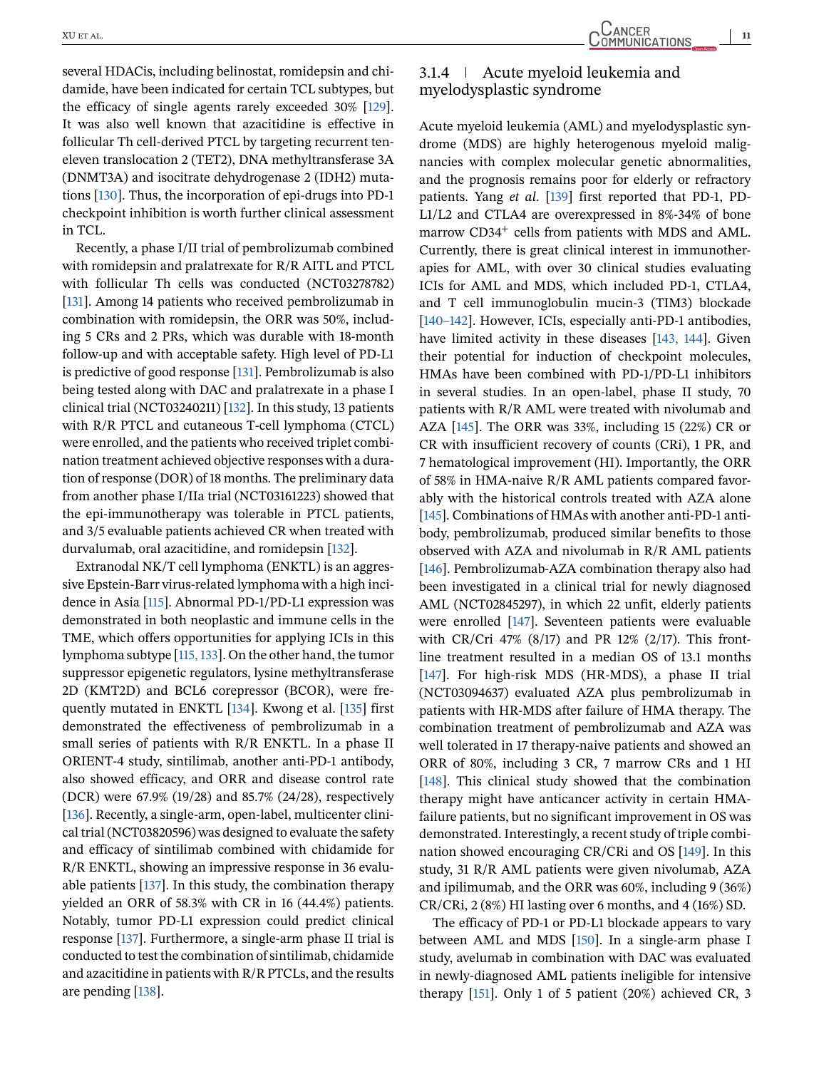several HDACis, including belinostat, romidepsin and chidamide, have been indicated for certain TCL subtypes, but the efficacy of single agents rarely exceeded 30% [\[129\]](#page-20-0). It was also well known that azacitidine is effective in follicular Th cell-derived PTCL by targeting recurrent teneleven translocation 2 (TET2), DNA methyltransferase 3A (DNMT3A) and isocitrate dehydrogenase 2 (IDH2) mutations [\[130\]](#page-20-0). Thus, the incorporation of epi-drugs into PD-1 checkpoint inhibition is worth further clinical assessment in TCL.

Recently, a phase I/II trial of pembrolizumab combined with romidepsin and pralatrexate for R/R AITL and PTCL with follicular Th cells was conducted (NCT03278782) [\[131\]](#page-20-0). Among 14 patients who received pembrolizumab in combination with romidepsin, the ORR was 50%, including 5 CRs and 2 PRs, which was durable with 18-month follow-up and with acceptable safety. High level of PD-L1 is predictive of good response [\[131\]](#page-20-0). Pembrolizumab is also being tested along with DAC and pralatrexate in a phase I clinical trial (NCT03240211) [\[132\]](#page-20-0). In this study, 13 patients with R/R PTCL and cutaneous T-cell lymphoma (CTCL) were enrolled, and the patients who received triplet combination treatment achieved objective responses with a duration of response (DOR) of 18 months. The preliminary data from another phase I/IIa trial (NCT03161223) showed that the epi-immunotherapy was tolerable in PTCL patients, and 3/5 evaluable patients achieved CR when treated with durvalumab, oral azacitidine, and romidepsin [\[132\]](#page-20-0).

Extranodal NK/T cell lymphoma (ENKTL) is an aggressive Epstein-Barr virus-related lymphoma with a high incidence in Asia [\[115\]](#page-19-0). Abnormal PD-1/PD-L1 expression was demonstrated in both neoplastic and immune cells in the TME, which offers opportunities for applying ICIs in this lymphoma subtype [\[115, 133\]](#page-19-0). On the other hand, the tumor suppressor epigenetic regulators, lysine methyltransferase 2D (KMT2D) and BCL6 corepressor (BCOR), were frequently mutated in ENKTL [\[134\]](#page-20-0). Kwong et al. [\[135\]](#page-20-0) first demonstrated the effectiveness of pembrolizumab in a small series of patients with R/R ENKTL. In a phase II ORIENT-4 study, sintilimab, another anti-PD-1 antibody, also showed efficacy, and ORR and disease control rate (DCR) were 67.9% (19/28) and 85.7% (24/28), respectively [\[136\]](#page-20-0). Recently, a single-arm, open-label, multicenter clinical trial (NCT03820596) was designed to evaluate the safety and efficacy of sintilimab combined with chidamide for R/R ENKTL, showing an impressive response in 36 evaluable patients [\[137\]](#page-20-0). In this study, the combination therapy yielded an ORR of 58.3% with CR in 16 (44.4%) patients. Notably, tumor PD-L1 expression could predict clinical response [\[137\]](#page-20-0). Furthermore, a single-arm phase II trial is conducted to test the combination of sintilimab, chidamide and azacitidine in patients with R/R PTCLs, and the results are pending [\[138\]](#page-20-0).

## 3.1.4 Acute myeloid leukemia and myelodysplastic syndrome

Acute myeloid leukemia (AML) and myelodysplastic syndrome (MDS) are highly heterogenous myeloid malignancies with complex molecular genetic abnormalities, and the prognosis remains poor for elderly or refractory patients. Yang *et al*. [\[139\]](#page-20-0) first reported that PD-1, PD-L1/L2 and CTLA4 are overexpressed in 8%-34% of bone marrow CD34<sup>+</sup> cells from patients with MDS and AML. Currently, there is great clinical interest in immunotherapies for AML, with over 30 clinical studies evaluating ICIs for AML and MDS, which included PD-1, CTLA4, and T cell immunoglobulin mucin-3 (TIM3) blockade [\[140–142\]](#page-20-0). However, ICIs, especially anti-PD-1 antibodies, have limited activity in these diseases [\[143, 144\]](#page-20-0). Given their potential for induction of checkpoint molecules, HMAs have been combined with PD-1/PD-L1 inhibitors in several studies. In an open-label, phase II study, 70 patients with R/R AML were treated with nivolumab and AZA [\[145\]](#page-20-0). The ORR was 33%, including 15 (22%) CR or CR with insufficient recovery of counts (CRi), 1 PR, and 7 hematological improvement (HI). Importantly, the ORR of 58% in HMA-naive R/R AML patients compared favorably with the historical controls treated with AZA alone [\[145\]](#page-20-0). Combinations of HMAs with another anti-PD-1 antibody, pembrolizumab, produced similar benefits to those observed with AZA and nivolumab in R/R AML patients [\[146\]](#page-20-0). Pembrolizumab-AZA combination therapy also had been investigated in a clinical trial for newly diagnosed AML (NCT02845297), in which 22 unfit, elderly patients were enrolled [\[147\]](#page-20-0). Seventeen patients were evaluable with CR/Cri 47% (8/17) and PR 12% (2/17). This frontline treatment resulted in a median OS of 13.1 months [\[147\]](#page-20-0). For high-risk MDS (HR-MDS), a phase II trial (NCT03094637) evaluated AZA plus pembrolizumab in patients with HR-MDS after failure of HMA therapy. The combination treatment of pembrolizumab and AZA was well tolerated in 17 therapy-naive patients and showed an ORR of 80%, including 3 CR, 7 marrow CRs and 1 HI [\[148\]](#page-20-0). This clinical study showed that the combination therapy might have anticancer activity in certain HMAfailure patients, but no significant improvement in OS was demonstrated. Interestingly, a recent study of triple combination showed encouraging CR/CRi and OS [\[149\]](#page-20-0). In this study, 31 R/R AML patients were given nivolumab, AZA and ipilimumab, and the ORR was 60%, including 9 (36%) CR/CRi, 2 (8%) HI lasting over 6 months, and 4 (16%) SD.

The efficacy of PD-1 or PD-L1 blockade appears to vary between AML and MDS [\[150\]](#page-20-0). In a single-arm phase I study, avelumab in combination with DAC was evaluated in newly-diagnosed AML patients ineligible for intensive therapy [\[151\]](#page-20-0). Only 1 of 5 patient (20%) achieved CR, 3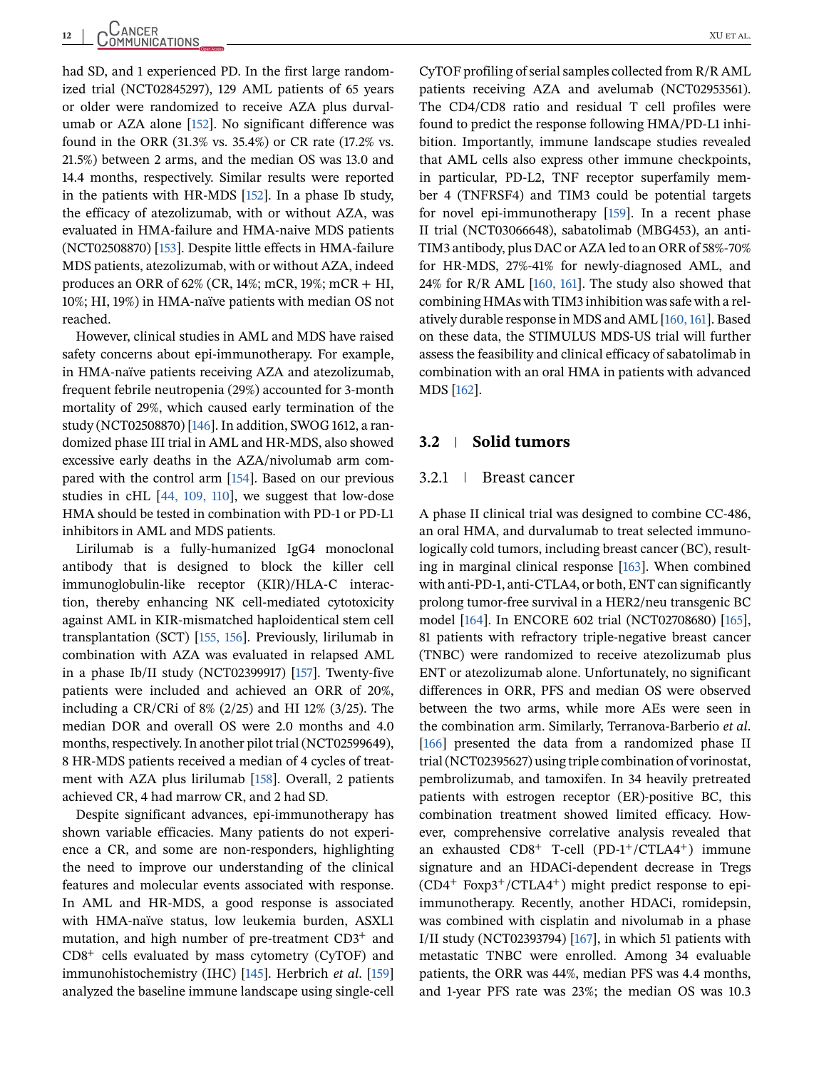had SD, and 1 experienced PD. In the first large randomized trial (NCT02845297), 129 AML patients of 65 years or older were randomized to receive AZA plus durvalumab or AZA alone [\[152\]](#page-21-0). No significant difference was found in the ORR (31.3% vs. 35.4%) or CR rate (17.2% vs. 21.5%) between 2 arms, and the median OS was 13.0 and 14.4 months, respectively. Similar results were reported in the patients with HR-MDS [\[152\]](#page-21-0). In a phase Ib study, the efficacy of atezolizumab, with or without AZA, was evaluated in HMA-failure and HMA-naive MDS patients (NCT02508870) [\[153\]](#page-21-0). Despite little effects in HMA-failure MDS patients, atezolizumab, with or without AZA, indeed produces an ORR of 62% (CR, 14%; mCR, 19%; mCR + HI, 10%; HI, 19%) in HMA-naïve patients with median OS not reached.

However, clinical studies in AML and MDS have raised safety concerns about epi-immunotherapy. For example, in HMA-naïve patients receiving AZA and atezolizumab, frequent febrile neutropenia (29%) accounted for 3-month mortality of 29%, which caused early termination of the study (NCT02508870) [\[146\]](#page-20-0). In addition, SWOG 1612, a randomized phase III trial in AML and HR-MDS, also showed excessive early deaths in the AZA/nivolumab arm compared with the control arm [\[154\]](#page-21-0). Based on our previous studies in cHL [\[44, 109, 110\]](#page-17-0), we suggest that low-dose HMA should be tested in combination with PD-1 or PD-L1 inhibitors in AML and MDS patients.

Lirilumab is a fully-humanized IgG4 monoclonal antibody that is designed to block the killer cell immunoglobulin-like receptor (KIR)/HLA-C interaction, thereby enhancing NK cell-mediated cytotoxicity against AML in KIR-mismatched haploidentical stem cell transplantation (SCT) [\[155, 156\]](#page-21-0). Previously, lirilumab in combination with AZA was evaluated in relapsed AML in a phase Ib/II study (NCT02399917) [\[157\]](#page-21-0). Twenty-five patients were included and achieved an ORR of 20%, including a CR/CRi of 8% (2/25) and HI 12% (3/25). The median DOR and overall OS were 2.0 months and 4.0 months, respectively. In another pilot trial (NCT02599649), 8 HR-MDS patients received a median of 4 cycles of treatment with AZA plus lirilumab [\[158\]](#page-21-0). Overall, 2 patients achieved CR, 4 had marrow CR, and 2 had SD.

Despite significant advances, epi-immunotherapy has shown variable efficacies. Many patients do not experience a CR, and some are non-responders, highlighting the need to improve our understanding of the clinical features and molecular events associated with response. In AML and HR-MDS, a good response is associated with HMA-naïve status, low leukemia burden, ASXL1 mutation, and high number of pre-treatment CD3<sup>+</sup> and  $CD8<sup>+</sup>$  cells evaluated by mass cytometry (CyTOF) and immunohistochemistry (IHC) [\[145\]](#page-20-0). Herbrich *et al*. [\[159\]](#page-21-0) analyzed the baseline immune landscape using single-cell

CyTOF profiling of serial samples collected from R/R AML patients receiving AZA and avelumab (NCT02953561). The CD4/CD8 ratio and residual T cell profiles were found to predict the response following HMA/PD-L1 inhibition. Importantly, immune landscape studies revealed that AML cells also express other immune checkpoints, in particular, PD-L2, TNF receptor superfamily member 4 (TNFRSF4) and TIM3 could be potential targets for novel epi-immunotherapy [\[159\]](#page-21-0). In a recent phase II trial (NCT03066648), sabatolimab (MBG453), an anti-TIM3 antibody, plus DAC or AZA led to an ORR of 58%-70% for HR-MDS, 27%-41% for newly-diagnosed AML, and 24% for R/R AML [\[160, 161\]](#page-21-0). The study also showed that combining HMAs with TIM3 inhibition was safe with a relatively durable response in MDS and AML [\[160, 161\]](#page-21-0). Based on these data, the STIMULUS MDS-US trial will further assess the feasibility and clinical efficacy of sabatolimab in combination with an oral HMA in patients with advanced MDS [\[162\]](#page-21-0).

#### **3.2 Solid tumors**

#### 3.2.1 Breast cancer

A phase II clinical trial was designed to combine CC-486, an oral HMA, and durvalumab to treat selected immunologically cold tumors, including breast cancer (BC), resulting in marginal clinical response [\[163\]](#page-21-0). When combined with anti-PD-1, anti-CTLA4, or both, ENT can significantly prolong tumor-free survival in a HER2/neu transgenic BC model [\[164\]](#page-21-0). In ENCORE 602 trial (NCT02708680) [\[165\]](#page-21-0), 81 patients with refractory triple-negative breast cancer (TNBC) were randomized to receive atezolizumab plus ENT or atezolizumab alone. Unfortunately, no significant differences in ORR, PFS and median OS were observed between the two arms, while more AEs were seen in the combination arm. Similarly, Terranova-Barberio *et al*. [\[166\]](#page-21-0) presented the data from a randomized phase II trial (NCT02395627) using triple combination of vorinostat, pembrolizumab, and tamoxifen. In 34 heavily pretreated patients with estrogen receptor (ER)-positive BC, this combination treatment showed limited efficacy. However, comprehensive correlative analysis revealed that an exhausted CD8<sup>+</sup> T-cell (PD-1+/CTLA4+) immune signature and an HDACi-dependent decrease in Tregs  $(CD4^+ Foxp3^+/CTLA4^+)$  might predict response to epiimmunotherapy. Recently, another HDACi, romidepsin, was combined with cisplatin and nivolumab in a phase I/II study (NCT02393794) [\[167\]](#page-21-0), in which 51 patients with metastatic TNBC were enrolled. Among 34 evaluable patients, the ORR was 44%, median PFS was 4.4 months, and 1-year PFS rate was 23%; the median OS was 10.3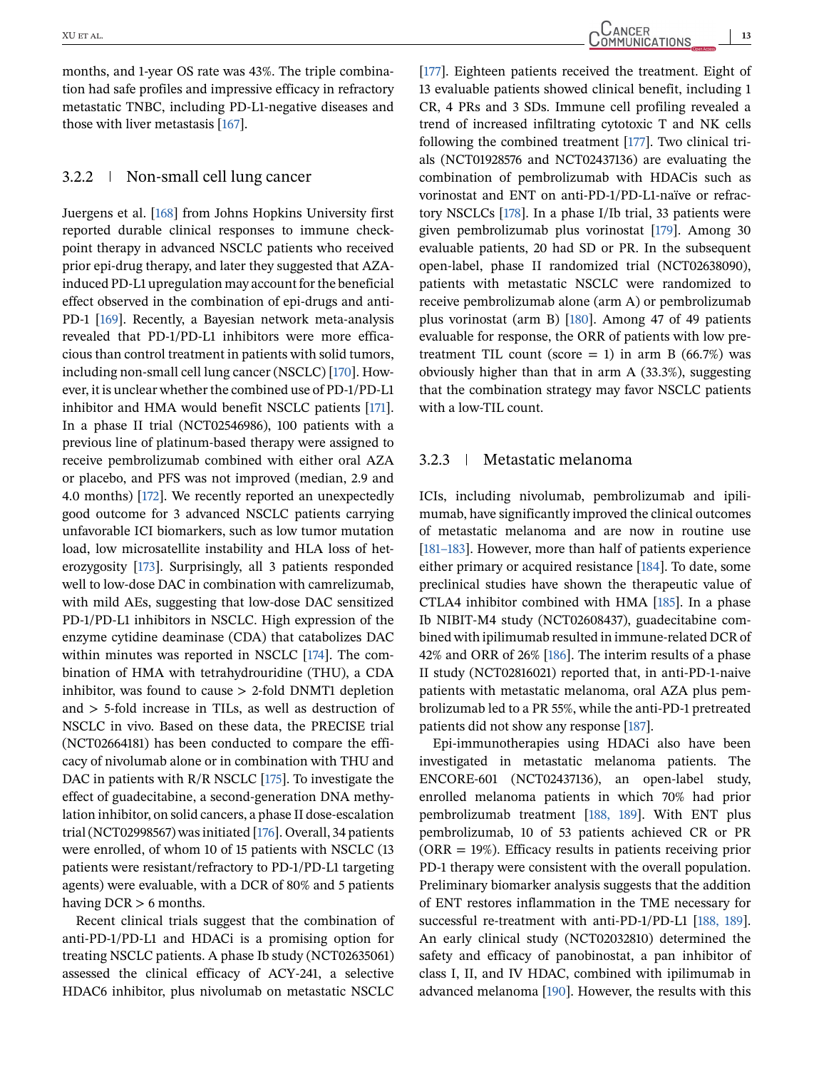months, and 1-year OS rate was 43%. The triple combination had safe profiles and impressive efficacy in refractory metastatic TNBC, including PD-L1-negative diseases and those with liver metastasis [\[167\]](#page-21-0).

#### 3.2.2 Non-small cell lung cancer

Juergens et al. [\[168\]](#page-21-0) from Johns Hopkins University first reported durable clinical responses to immune checkpoint therapy in advanced NSCLC patients who received prior epi-drug therapy, and later they suggested that AZAinduced PD-L1 upregulation may account for the beneficial effect observed in the combination of epi-drugs and anti-PD-1 [\[169\]](#page-21-0). Recently, a Bayesian network meta-analysis revealed that PD-1/PD-L1 inhibitors were more efficacious than control treatment in patients with solid tumors, including non-small cell lung cancer (NSCLC) [\[170\]](#page-21-0). However, it is unclear whether the combined use of PD-1/PD-L1 inhibitor and HMA would benefit NSCLC patients [\[171\]](#page-21-0). In a phase II trial (NCT02546986), 100 patients with a previous line of platinum-based therapy were assigned to receive pembrolizumab combined with either oral AZA or placebo, and PFS was not improved (median, 2.9 and 4.0 months) [\[172\]](#page-21-0). We recently reported an unexpectedly good outcome for 3 advanced NSCLC patients carrying unfavorable ICI biomarkers, such as low tumor mutation load, low microsatellite instability and HLA loss of heterozygosity [\[173\]](#page-21-0). Surprisingly, all 3 patients responded well to low-dose DAC in combination with camrelizumab, with mild AEs, suggesting that low-dose DAC sensitized PD-1/PD-L1 inhibitors in NSCLC. High expression of the enzyme cytidine deaminase (CDA) that catabolizes DAC within minutes was reported in NSCLC [\[174\]](#page-21-0). The combination of HMA with tetrahydrouridine (THU), a CDA inhibitor, was found to cause  $> 2$ -fold DNMT1 depletion and > 5-fold increase in TILs, as well as destruction of NSCLC in vivo. Based on these data, the PRECISE trial (NCT02664181) has been conducted to compare the efficacy of nivolumab alone or in combination with THU and DAC in patients with  $R/R$  NSCLC [\[175\]](#page-21-0). To investigate the effect of guadecitabine, a second-generation DNA methylation inhibitor, on solid cancers, a phase II dose-escalation trial (NCT02998567) was initiated [\[176\]](#page-22-0). Overall, 34 patients were enrolled, of whom 10 of 15 patients with NSCLC (13 patients were resistant/refractory to PD-1/PD-L1 targeting agents) were evaluable, with a DCR of 80% and 5 patients having DCR > 6 months.

Recent clinical trials suggest that the combination of anti-PD-1/PD-L1 and HDACi is a promising option for treating NSCLC patients. A phase Ib study (NCT02635061) assessed the clinical efficacy of ACY-241, a selective HDAC6 inhibitor, plus nivolumab on metastatic NSCLC

XU ET AL. COMMUNICATIONS 13

[\[177\]](#page-22-0). Eighteen patients received the treatment. Eight of 13 evaluable patients showed clinical benefit, including 1 CR, 4 PRs and 3 SDs. Immune cell profiling revealed a trend of increased infiltrating cytotoxic T and NK cells following the combined treatment [\[177\]](#page-22-0). Two clinical trials (NCT01928576 and NCT02437136) are evaluating the combination of pembrolizumab with HDACis such as vorinostat and ENT on anti-PD-1/PD-L1-naïve or refractory NSCLCs [\[178\]](#page-22-0). In a phase I/Ib trial, 33 patients were given pembrolizumab plus vorinostat [\[179\]](#page-22-0). Among 30 evaluable patients, 20 had SD or PR. In the subsequent open-label, phase II randomized trial (NCT02638090), patients with metastatic NSCLC were randomized to receive pembrolizumab alone (arm A) or pembrolizumab plus vorinostat (arm B) [\[180\]](#page-22-0). Among 47 of 49 patients evaluable for response, the ORR of patients with low pretreatment TIL count (score = 1) in arm B (66.7%) was obviously higher than that in arm A (33.3%), suggesting that the combination strategy may favor NSCLC patients with a low-TIL count.

#### 3.2.3 Metastatic melanoma

ICIs, including nivolumab, pembrolizumab and ipilimumab, have significantly improved the clinical outcomes of metastatic melanoma and are now in routine use [\[181–183\]](#page-22-0). However, more than half of patients experience either primary or acquired resistance [\[184\]](#page-22-0). To date, some preclinical studies have shown the therapeutic value of CTLA4 inhibitor combined with HMA [\[185\]](#page-22-0). In a phase Ib NIBIT-M4 study (NCT02608437), guadecitabine combined with ipilimumab resulted in immune-related DCR of 42% and ORR of 26% [\[186\]](#page-22-0). The interim results of a phase II study (NCT02816021) reported that, in anti-PD-1-naive patients with metastatic melanoma, oral AZA plus pembrolizumab led to a PR 55%, while the anti-PD-1 pretreated patients did not show any response [\[187\]](#page-22-0).

Epi-immunotherapies using HDACi also have been investigated in metastatic melanoma patients. The ENCORE-601 (NCT02437136), an open-label study, enrolled melanoma patients in which 70% had prior pembrolizumab treatment [\[188, 189\]](#page-22-0). With ENT plus pembrolizumab, 10 of 53 patients achieved CR or PR  $(ORR = 19\%)$ . Efficacy results in patients receiving prior PD-1 therapy were consistent with the overall population. Preliminary biomarker analysis suggests that the addition of ENT restores inflammation in the TME necessary for successful re-treatment with anti-PD-1/PD-L1 [\[188, 189\]](#page-22-0). An early clinical study (NCT02032810) determined the safety and efficacy of panobinostat, a pan inhibitor of class I, II, and IV HDAC, combined with ipilimumab in advanced melanoma [\[190\]](#page-22-0). However, the results with this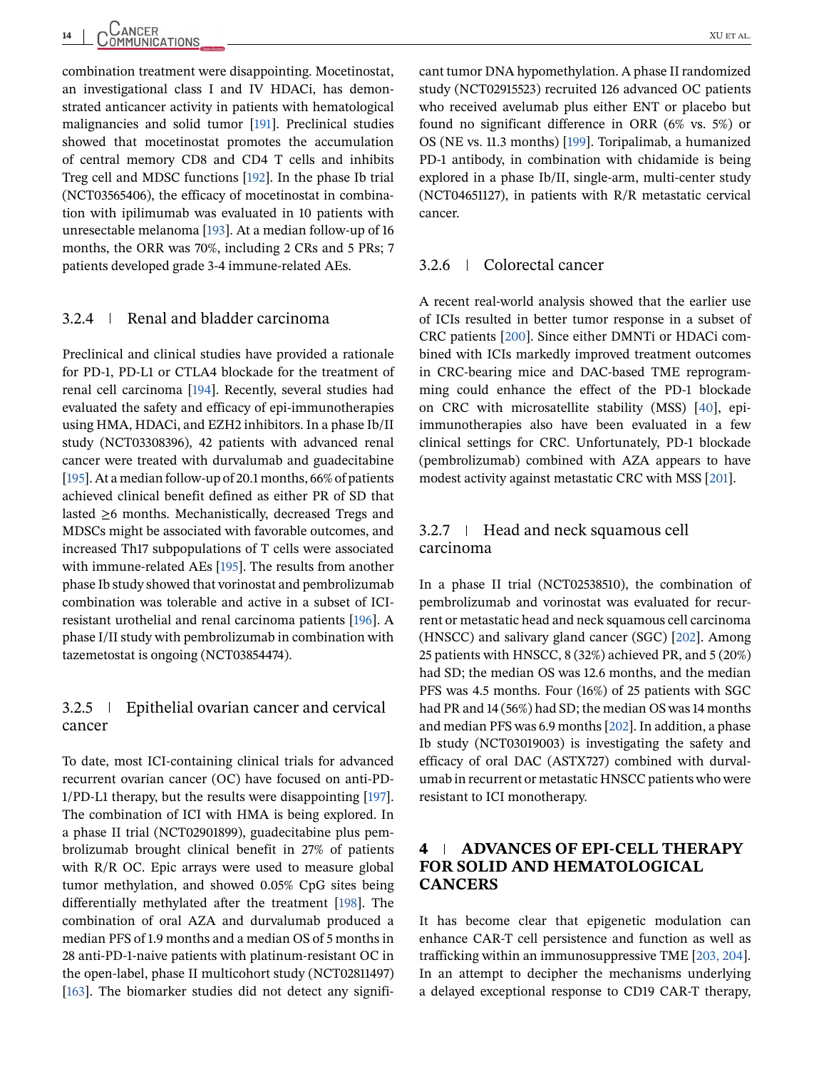combination treatment were disappointing. Mocetinostat, an investigational class I and IV HDACi, has demonstrated anticancer activity in patients with hematological malignancies and solid tumor [\[191\]](#page-22-0). Preclinical studies showed that mocetinostat promotes the accumulation of central memory CD8 and CD4 T cells and inhibits Treg cell and MDSC functions [\[192\]](#page-22-0). In the phase Ib trial (NCT03565406), the efficacy of mocetinostat in combination with ipilimumab was evaluated in 10 patients with unresectable melanoma [\[193\]](#page-22-0). At a median follow-up of 16 months, the ORR was 70%, including 2 CRs and 5 PRs; 7 patients developed grade 3-4 immune-related AEs.

#### 3.2.4 Renal and bladder carcinoma

Preclinical and clinical studies have provided a rationale for PD-1, PD-L1 or CTLA4 blockade for the treatment of renal cell carcinoma [\[194\]](#page-22-0). Recently, several studies had evaluated the safety and efficacy of epi-immunotherapies using HMA, HDACi, and EZH2 inhibitors. In a phase Ib/II study (NCT03308396), 42 patients with advanced renal cancer were treated with durvalumab and guadecitabine [\[195\]](#page-22-0). At a median follow-up of 20.1 months, 66% of patients achieved clinical benefit defined as either PR of SD that lasted ≥6 months. Mechanistically, decreased Tregs and MDSCs might be associated with favorable outcomes, and increased Th17 subpopulations of T cells were associated with immune-related AEs [\[195\]](#page-22-0). The results from another phase Ib study showed that vorinostat and pembrolizumab combination was tolerable and active in a subset of ICIresistant urothelial and renal carcinoma patients [\[196\]](#page-22-0). A phase I/II study with pembrolizumab in combination with tazemetostat is ongoing (NCT03854474).

### 3.2.5 Epithelial ovarian cancer and cervical cancer

To date, most ICI-containing clinical trials for advanced recurrent ovarian cancer (OC) have focused on anti-PD-1/PD-L1 therapy, but the results were disappointing [\[197\]](#page-22-0). The combination of ICI with HMA is being explored. In a phase II trial (NCT02901899), guadecitabine plus pembrolizumab brought clinical benefit in 27% of patients with R/R OC. Epic arrays were used to measure global tumor methylation, and showed 0.05% CpG sites being differentially methylated after the treatment [\[198\]](#page-22-0). The combination of oral AZA and durvalumab produced a median PFS of 1.9 months and a median OS of 5 months in 28 anti-PD-1-naive patients with platinum-resistant OC in the open-label, phase II multicohort study (NCT02811497) [\[163\]](#page-21-0). The biomarker studies did not detect any significant tumor DNA hypomethylation. A phase II randomized study (NCT02915523) recruited 126 advanced OC patients who received avelumab plus either ENT or placebo but found no significant difference in ORR (6% vs. 5%) or OS (NE vs. 11.3 months) [\[199\]](#page-22-0). Toripalimab, a humanized PD-1 antibody, in combination with chidamide is being explored in a phase Ib/II, single-arm, multi-center study (NCT04651127), in patients with R/R metastatic cervical cancer.

#### 3.2.6 Colorectal cancer

A recent real-world analysis showed that the earlier use of ICIs resulted in better tumor response in a subset of CRC patients [\[200\]](#page-22-0). Since either DMNTi or HDACi combined with ICIs markedly improved treatment outcomes in CRC-bearing mice and DAC-based TME reprogramming could enhance the effect of the PD-1 blockade on CRC with microsatellite stability (MSS) [\[40\]](#page-17-0), epiimmunotherapies also have been evaluated in a few clinical settings for CRC. Unfortunately, PD-1 blockade (pembrolizumab) combined with AZA appears to have modest activity against metastatic CRC with MSS [\[201\]](#page-22-0).

#### 3.2.7 Head and neck squamous cell carcinoma

In a phase II trial (NCT02538510), the combination of pembrolizumab and vorinostat was evaluated for recurrent or metastatic head and neck squamous cell carcinoma (HNSCC) and salivary gland cancer (SGC) [\[202\]](#page-22-0). Among 25 patients with HNSCC, 8 (32%) achieved PR, and 5 (20%) had SD; the median OS was 12.6 months, and the median PFS was 4.5 months. Four (16%) of 25 patients with SGC had PR and 14 (56%) had SD; the median OS was 14 months and median PFS was 6.9 months [\[202\]](#page-22-0). In addition, a phase Ib study (NCT03019003) is investigating the safety and efficacy of oral DAC (ASTX727) combined with durvalumab in recurrent or metastatic HNSCC patients who were resistant to ICI monotherapy.

## **4 ADVANCES OF EPI-CELL THERAPY FOR SOLID AND HEMATOLOGICAL CANCERS**

It has become clear that epigenetic modulation can enhance CAR-T cell persistence and function as well as trafficking within an immunosuppressive TME [\[203, 204\]](#page-23-0). In an attempt to decipher the mechanisms underlying a delayed exceptional response to CD19 CAR-T therapy,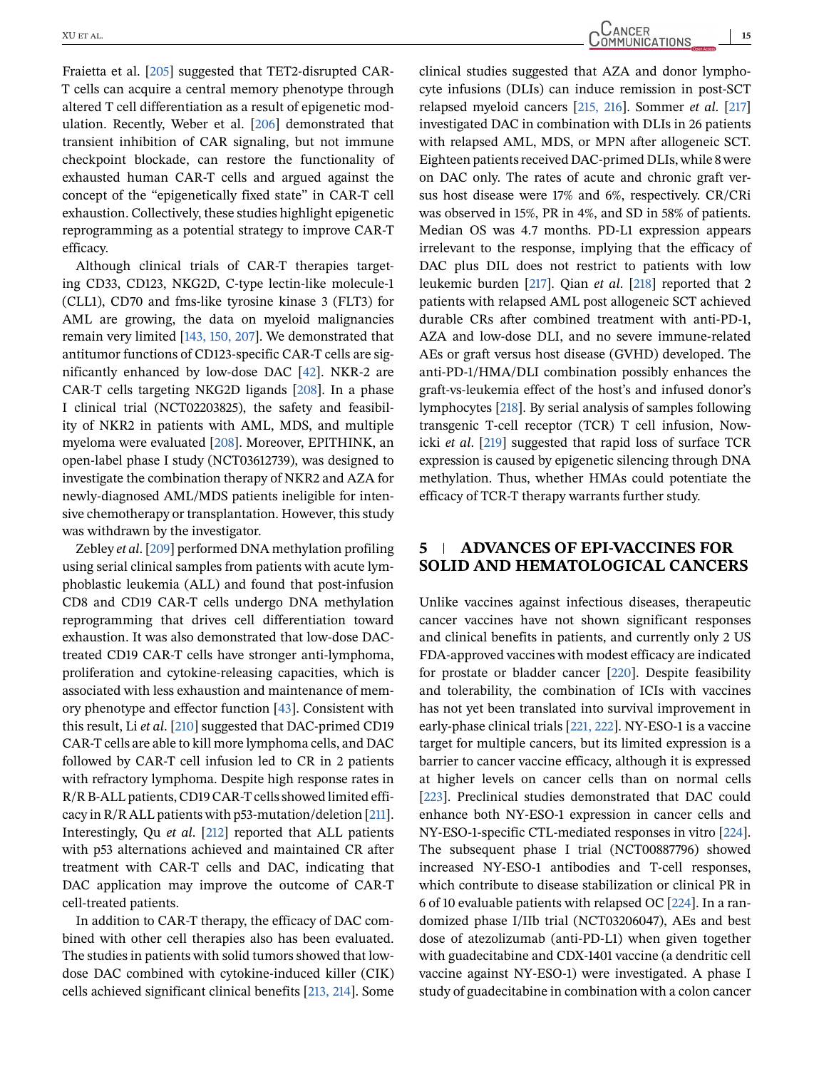Fraietta et al. [\[205\]](#page-23-0) suggested that TET2-disrupted CAR-T cells can acquire a central memory phenotype through altered T cell differentiation as a result of epigenetic modulation. Recently, Weber et al. [\[206\]](#page-23-0) demonstrated that transient inhibition of CAR signaling, but not immune checkpoint blockade, can restore the functionality of exhausted human CAR-T cells and argued against the concept of the "epigenetically fixed state" in CAR-T cell exhaustion. Collectively, these studies highlight epigenetic reprogramming as a potential strategy to improve CAR-T efficacy.

Although clinical trials of CAR-T therapies targeting CD33, CD123, NKG2D, C-type lectin-like molecule-1 (CLL1), CD70 and fms-like tyrosine kinase 3 (FLT3) for AML are growing, the data on myeloid malignancies remain very limited [\[143, 150, 207\]](#page-20-0). We demonstrated that antitumor functions of CD123-specific CAR-T cells are significantly enhanced by low-dose DAC [\[42\]](#page-17-0). NKR-2 are CAR-T cells targeting NKG2D ligands [\[208\]](#page-23-0). In a phase I clinical trial (NCT02203825), the safety and feasibility of NKR2 in patients with AML, MDS, and multiple myeloma were evaluated [\[208\]](#page-23-0). Moreover, EPITHINK, an open-label phase I study (NCT03612739), was designed to investigate the combination therapy of NKR2 and AZA for newly-diagnosed AML/MDS patients ineligible for intensive chemotherapy or transplantation. However, this study was withdrawn by the investigator.

Zebley *et al*. [\[209\]](#page-23-0) performed DNA methylation profiling using serial clinical samples from patients with acute lymphoblastic leukemia (ALL) and found that post-infusion CD8 and CD19 CAR-T cells undergo DNA methylation reprogramming that drives cell differentiation toward exhaustion. It was also demonstrated that low-dose DACtreated CD19 CAR-T cells have stronger anti-lymphoma, proliferation and cytokine-releasing capacities, which is associated with less exhaustion and maintenance of memory phenotype and effector function [\[43\]](#page-17-0). Consistent with this result, Li *et al*. [\[210\]](#page-23-0) suggested that DAC-primed CD19 CAR-T cells are able to kill more lymphoma cells, and DAC followed by CAR-T cell infusion led to CR in 2 patients with refractory lymphoma. Despite high response rates in R/R B-ALL patients, CD19 CAR-T cells showed limited efficacy in R/R ALL patients with p53-mutation/deletion [\[211\]](#page-23-0). Interestingly, Qu *et al*. [\[212\]](#page-23-0) reported that ALL patients with p53 alternations achieved and maintained CR after treatment with CAR-T cells and DAC, indicating that DAC application may improve the outcome of CAR-T cell-treated patients.

In addition to CAR-T therapy, the efficacy of DAC combined with other cell therapies also has been evaluated. The studies in patients with solid tumors showed that lowdose DAC combined with cytokine-induced killer (CIK) cells achieved significant clinical benefits [\[213, 214\]](#page-23-0). Some

XU ET AL. COMMUNICATIONS 15

clinical studies suggested that AZA and donor lymphocyte infusions (DLIs) can induce remission in post-SCT relapsed myeloid cancers [\[215, 216\]](#page-23-0). Sommer *et al*. [\[217\]](#page-23-0) investigated DAC in combination with DLIs in 26 patients with relapsed AML, MDS, or MPN after allogeneic SCT. Eighteen patients received DAC-primed DLIs, while 8 were on DAC only. The rates of acute and chronic graft versus host disease were 17% and 6%, respectively. CR/CRi was observed in 15%, PR in 4%, and SD in 58% of patients. Median OS was 4.7 months. PD-L1 expression appears irrelevant to the response, implying that the efficacy of DAC plus DIL does not restrict to patients with low leukemic burden [\[217\]](#page-23-0). Qian *et al*. [\[218\]](#page-23-0) reported that 2 patients with relapsed AML post allogeneic SCT achieved durable CRs after combined treatment with anti-PD-1, AZA and low-dose DLI, and no severe immune-related AEs or graft versus host disease (GVHD) developed. The anti-PD-1/HMA/DLI combination possibly enhances the graft-vs-leukemia effect of the host's and infused donor's lymphocytes [\[218\]](#page-23-0). By serial analysis of samples following transgenic T-cell receptor (TCR) T cell infusion, Nowicki *et al*. [\[219\]](#page-23-0) suggested that rapid loss of surface TCR expression is caused by epigenetic silencing through DNA methylation. Thus, whether HMAs could potentiate the efficacy of TCR-T therapy warrants further study.

## **5 ADVANCES OF EPI-VACCINES FOR SOLID AND HEMATOLOGICAL CANCERS**

Unlike vaccines against infectious diseases, therapeutic cancer vaccines have not shown significant responses and clinical benefits in patients, and currently only 2 US FDA-approved vaccines with modest efficacy are indicated for prostate or bladder cancer [\[220\]](#page-23-0). Despite feasibility and tolerability, the combination of ICIs with vaccines has not yet been translated into survival improvement in early-phase clinical trials [\[221, 222\]](#page-23-0). NY-ESO-1 is a vaccine target for multiple cancers, but its limited expression is a barrier to cancer vaccine efficacy, although it is expressed at higher levels on cancer cells than on normal cells [\[223\]](#page-23-0). Preclinical studies demonstrated that DAC could enhance both NY-ESO-1 expression in cancer cells and NY-ESO-1-specific CTL-mediated responses in vitro [\[224\]](#page-23-0). The subsequent phase I trial (NCT00887796) showed increased NY-ESO-1 antibodies and T-cell responses, which contribute to disease stabilization or clinical PR in 6 of 10 evaluable patients with relapsed OC [\[224\]](#page-23-0). In a randomized phase I/IIb trial (NCT03206047), AEs and best dose of atezolizumab (anti-PD-L1) when given together with guadecitabine and CDX-1401 vaccine (a dendritic cell vaccine against NY-ESO-1) were investigated. A phase I study of guadecitabine in combination with a colon cancer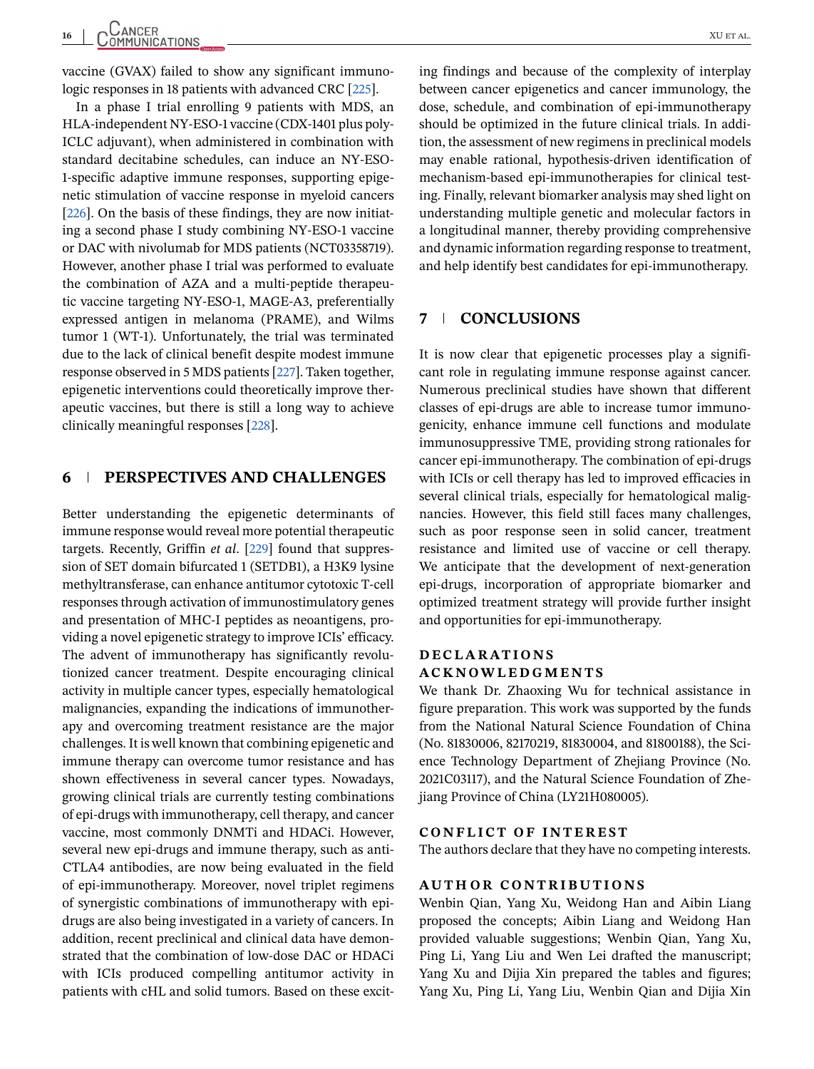vaccine (GVAX) failed to show any significant immunologic responses in 18 patients with advanced CRC [\[225\]](#page-23-0).

In a phase I trial enrolling 9 patients with MDS, an HLA-independent NY-ESO-1 vaccine (CDX-1401 plus poly-ICLC adjuvant), when administered in combination with standard decitabine schedules, can induce an NY-ESO-1-specific adaptive immune responses, supporting epigenetic stimulation of vaccine response in myeloid cancers [\[226\]](#page-23-0). On the basis of these findings, they are now initiating a second phase I study combining NY-ESO-1 vaccine or DAC with nivolumab for MDS patients (NCT03358719). However, another phase I trial was performed to evaluate the combination of AZA and a multi-peptide therapeutic vaccine targeting NY-ESO-1, MAGE-A3, preferentially expressed antigen in melanoma (PRAME), and Wilms tumor 1 (WT-1). Unfortunately, the trial was terminated due to the lack of clinical benefit despite modest immune response observed in 5 MDS patients [\[227\]](#page-23-0). Taken together, epigenetic interventions could theoretically improve therapeutic vaccines, but there is still a long way to achieve clinically meaningful responses [\[228\]](#page-23-0).

#### **6 PERSPECTIVES AND CHALLENGES**

Better understanding the epigenetic determinants of immune response would reveal more potential therapeutic targets. Recently, Griffin *et al*. [\[229\]](#page-23-0) found that suppression of SET domain bifurcated 1 (SETDB1), a H3K9 lysine methyltransferase, can enhance antitumor cytotoxic T-cell responses through activation of immunostimulatory genes and presentation of MHC-I peptides as neoantigens, providing a novel epigenetic strategy to improve ICIs' efficacy. The advent of immunotherapy has significantly revolutionized cancer treatment. Despite encouraging clinical activity in multiple cancer types, especially hematological malignancies, expanding the indications of immunotherapy and overcoming treatment resistance are the major challenges. It is well known that combining epigenetic and immune therapy can overcome tumor resistance and has shown effectiveness in several cancer types. Nowadays, growing clinical trials are currently testing combinations of epi-drugs with immunotherapy, cell therapy, and cancer vaccine, most commonly DNMTi and HDACi. However, several new epi-drugs and immune therapy, such as anti-CTLA4 antibodies, are now being evaluated in the field of epi-immunotherapy. Moreover, novel triplet regimens of synergistic combinations of immunotherapy with epidrugs are also being investigated in a variety of cancers. In addition, recent preclinical and clinical data have demonstrated that the combination of low-dose DAC or HDACi with ICIs produced compelling antitumor activity in patients with cHL and solid tumors. Based on these excit-

ing findings and because of the complexity of interplay between cancer epigenetics and cancer immunology, the dose, schedule, and combination of epi-immunotherapy should be optimized in the future clinical trials. In addition, the assessment of new regimens in preclinical models may enable rational, hypothesis-driven identification of mechanism-based epi-immunotherapies for clinical testing. Finally, relevant biomarker analysis may shed light on understanding multiple genetic and molecular factors in a longitudinal manner, thereby providing comprehensive and dynamic information regarding response to treatment, and help identify best candidates for epi-immunotherapy.

### **7 CONCLUSIONS**

It is now clear that epigenetic processes play a significant role in regulating immune response against cancer. Numerous preclinical studies have shown that different classes of epi-drugs are able to increase tumor immunogenicity, enhance immune cell functions and modulate immunosuppressive TME, providing strong rationales for cancer epi-immunotherapy. The combination of epi-drugs with ICIs or cell therapy has led to improved efficacies in several clinical trials, especially for hematological malignancies. However, this field still faces many challenges, such as poor response seen in solid cancer, treatment resistance and limited use of vaccine or cell therapy. We anticipate that the development of next-generation epi-drugs, incorporation of appropriate biomarker and optimized treatment strategy will provide further insight and opportunities for epi-immunotherapy.

#### **DECLARATIONS ACKNOWLEDGMENTS**

We thank Dr. Zhaoxing Wu for technical assistance in figure preparation. This work was supported by the funds from the National Natural Science Foundation of China (No. 81830006, 82170219, 81830004, and 81800188), the Science Technology Department of Zhejiang Province (No. 2021C03117), and the Natural Science Foundation of Zhejiang Province of China (LY21H080005).

#### **CONFLICT OF INTEREST**

The authors declare that they have no competing interests.

#### **AUTHOR CONTRIBUTIONS**

Wenbin Qian, Yang Xu, Weidong Han and Aibin Liang proposed the concepts; Aibin Liang and Weidong Han provided valuable suggestions; Wenbin Qian, Yang Xu, Ping Li, Yang Liu and Wen Lei drafted the manuscript; Yang Xu and Dijia Xin prepared the tables and figures; Yang Xu, Ping Li, Yang Liu, Wenbin Qian and Dijia Xin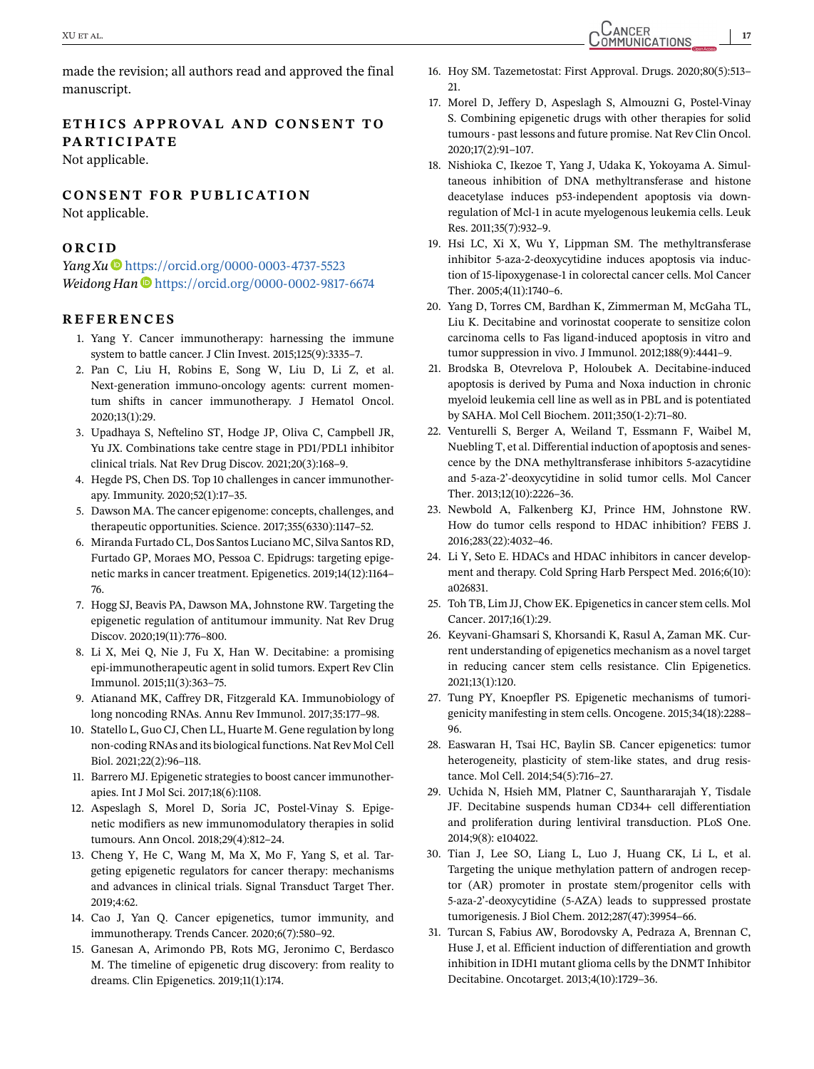<span id="page-16-0"></span>made the revision; all authors read and approved the final manuscript.

## **ETH ICS APPROVAL AND CONSENT TO PARTICIPATE**

Not applicable.

#### **CONSENT FOR PUBLICATION**

Not applicable.

#### **ORCID**

*Yang Xu* ● <https://orcid.org/0000-0003-4737-5523> *Weidong Han*  $\Phi$  <https://orcid.org/0000-0002-9817-6674>

#### **REFERENCES**

- 1. Yang Y. Cancer immunotherapy: harnessing the immune system to battle cancer. J Clin Invest. 2015;125(9):3335–7.
- 2. Pan C, Liu H, Robins E, Song W, Liu D, Li Z, et al. Next-generation immuno-oncology agents: current momentum shifts in cancer immunotherapy. J Hematol Oncol. 2020;13(1):29.
- 3. Upadhaya S, Neftelino ST, Hodge JP, Oliva C, Campbell JR, Yu JX. Combinations take centre stage in PD1/PDL1 inhibitor clinical trials. Nat Rev Drug Discov. 2021;20(3):168–9.
- 4. Hegde PS, Chen DS. Top 10 challenges in cancer immunotherapy. Immunity. 2020;52(1):17–35.
- 5. Dawson MA. The cancer epigenome: concepts, challenges, and therapeutic opportunities. Science. 2017;355(6330):1147–52.
- 6. Miranda Furtado CL, Dos Santos Luciano MC, Silva Santos RD, Furtado GP, Moraes MO, Pessoa C. Epidrugs: targeting epigenetic marks in cancer treatment. Epigenetics. 2019;14(12):1164– 76.
- 7. Hogg SJ, Beavis PA, Dawson MA, Johnstone RW. Targeting the epigenetic regulation of antitumour immunity. Nat Rev Drug Discov. 2020;19(11):776–800.
- 8. Li X, Mei Q, Nie J, Fu X, Han W. Decitabine: a promising epi-immunotherapeutic agent in solid tumors. Expert Rev Clin Immunol. 2015;11(3):363–75.
- 9. Atianand MK, Caffrey DR, Fitzgerald KA. Immunobiology of long noncoding RNAs. Annu Rev Immunol. 2017;35:177–98.
- 10. Statello L, Guo CJ, Chen LL, Huarte M. Gene regulation by long non-coding RNAs and its biological functions. Nat Rev Mol Cell Biol. 2021;22(2):96–118.
- 11. Barrero MJ. Epigenetic strategies to boost cancer immunotherapies. Int J Mol Sci. 2017;18(6):1108.
- 12. Aspeslagh S, Morel D, Soria JC, Postel-Vinay S. Epigenetic modifiers as new immunomodulatory therapies in solid tumours. Ann Oncol. 2018;29(4):812–24.
- 13. Cheng Y, He C, Wang M, Ma X, Mo F, Yang S, et al. Targeting epigenetic regulators for cancer therapy: mechanisms and advances in clinical trials. Signal Transduct Target Ther. 2019;4:62.
- 14. Cao J, Yan Q. Cancer epigenetics, tumor immunity, and immunotherapy. Trends Cancer. 2020;6(7):580–92.
- 15. Ganesan A, Arimondo PB, Rots MG, Jeronimo C, Berdasco M. The timeline of epigenetic drug discovery: from reality to dreams. Clin Epigenetics. 2019;11(1):174.
- 16. Hoy SM. Tazemetostat: First Approval. Drugs. 2020;80(5):513– 21.
- 17. Morel D, Jeffery D, Aspeslagh S, Almouzni G, Postel-Vinay S. Combining epigenetic drugs with other therapies for solid tumours - past lessons and future promise. Nat Rev Clin Oncol. 2020;17(2):91–107.
- 18. Nishioka C, Ikezoe T, Yang J, Udaka K, Yokoyama A. Simultaneous inhibition of DNA methyltransferase and histone deacetylase induces p53-independent apoptosis via downregulation of Mcl-1 in acute myelogenous leukemia cells. Leuk Res. 2011;35(7):932–9.
- 19. Hsi LC, Xi X, Wu Y, Lippman SM. The methyltransferase inhibitor 5-aza-2-deoxycytidine induces apoptosis via induction of 15-lipoxygenase-1 in colorectal cancer cells. Mol Cancer Ther. 2005;4(11):1740–6.
- 20. Yang D, Torres CM, Bardhan K, Zimmerman M, McGaha TL, Liu K. Decitabine and vorinostat cooperate to sensitize colon carcinoma cells to Fas ligand-induced apoptosis in vitro and tumor suppression in vivo. J Immunol. 2012;188(9):4441–9.
- 21. Brodska B, Otevrelova P, Holoubek A. Decitabine-induced apoptosis is derived by Puma and Noxa induction in chronic myeloid leukemia cell line as well as in PBL and is potentiated by SAHA. Mol Cell Biochem. 2011;350(1-2):71–80.
- 22. Venturelli S, Berger A, Weiland T, Essmann F, Waibel M, Nuebling T, et al. Differential induction of apoptosis and senescence by the DNA methyltransferase inhibitors 5-azacytidine and 5-aza-2'-deoxycytidine in solid tumor cells. Mol Cancer Ther. 2013;12(10):2226–36.
- 23. Newbold A, Falkenberg KJ, Prince HM, Johnstone RW. How do tumor cells respond to HDAC inhibition? FEBS J. 2016;283(22):4032–46.
- 24. Li Y, Seto E. HDACs and HDAC inhibitors in cancer development and therapy. Cold Spring Harb Perspect Med. 2016;6(10): a026831.
- 25. Toh TB, Lim JJ, Chow EK. Epigenetics in cancer stem cells. Mol Cancer. 2017;16(1):29.
- 26. Keyvani-Ghamsari S, Khorsandi K, Rasul A, Zaman MK. Current understanding of epigenetics mechanism as a novel target in reducing cancer stem cells resistance. Clin Epigenetics. 2021;13(1):120.
- 27. Tung PY, Knoepfler PS. Epigenetic mechanisms of tumorigenicity manifesting in stem cells. Oncogene. 2015;34(18):2288– 96.
- 28. Easwaran H, Tsai HC, Baylin SB. Cancer epigenetics: tumor heterogeneity, plasticity of stem-like states, and drug resistance. Mol Cell. 2014;54(5):716–27.
- 29. Uchida N, Hsieh MM, Platner C, Saunthararajah Y, Tisdale JF. Decitabine suspends human CD34+ cell differentiation and proliferation during lentiviral transduction. PLoS One. 2014;9(8): e104022.
- 30. Tian J, Lee SO, Liang L, Luo J, Huang CK, Li L, et al. Targeting the unique methylation pattern of androgen receptor (AR) promoter in prostate stem/progenitor cells with 5-aza-2'-deoxycytidine (5-AZA) leads to suppressed prostate tumorigenesis. J Biol Chem. 2012;287(47):39954–66.
- 31. Turcan S, Fabius AW, Borodovsky A, Pedraza A, Brennan C, Huse J, et al. Efficient induction of differentiation and growth inhibition in IDH1 mutant glioma cells by the DNMT Inhibitor Decitabine. Oncotarget. 2013;4(10):1729–36.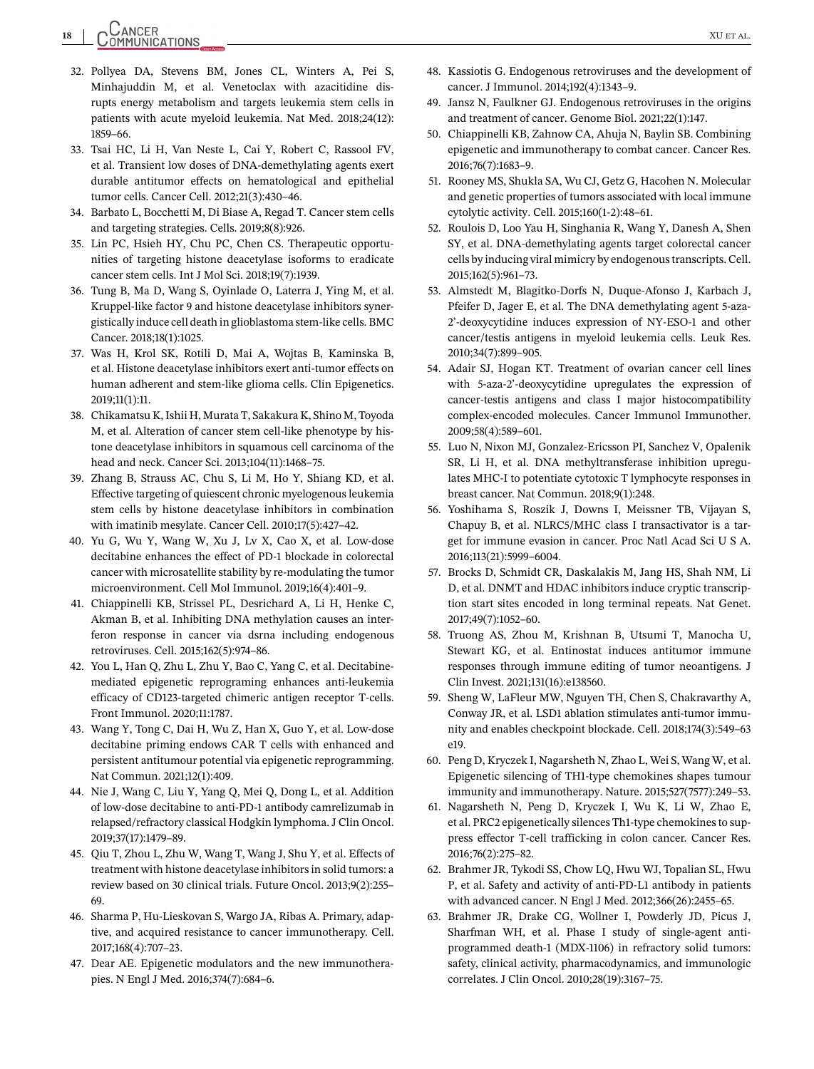- <span id="page-17-0"></span>32. Pollyea DA, Stevens BM, Jones CL, Winters A, Pei S, Minhajuddin M, et al. Venetoclax with azacitidine disrupts energy metabolism and targets leukemia stem cells in patients with acute myeloid leukemia. Nat Med. 2018;24(12): 1859–66.
- 33. Tsai HC, Li H, Van Neste L, Cai Y, Robert C, Rassool FV, et al. Transient low doses of DNA-demethylating agents exert durable antitumor effects on hematological and epithelial tumor cells. Cancer Cell. 2012;21(3):430–46.
- 34. Barbato L, Bocchetti M, Di Biase A, Regad T. Cancer stem cells and targeting strategies. Cells. 2019;8(8):926.
- 35. Lin PC, Hsieh HY, Chu PC, Chen CS. Therapeutic opportunities of targeting histone deacetylase isoforms to eradicate cancer stem cells. Int J Mol Sci. 2018;19(7):1939.
- 36. Tung B, Ma D, Wang S, Oyinlade O, Laterra J, Ying M, et al. Kruppel-like factor 9 and histone deacetylase inhibitors synergistically induce cell death in glioblastoma stem-like cells. BMC Cancer. 2018;18(1):1025.
- 37. Was H, Krol SK, Rotili D, Mai A, Wojtas B, Kaminska B, et al. Histone deacetylase inhibitors exert anti-tumor effects on human adherent and stem-like glioma cells. Clin Epigenetics. 2019;11(1):11.
- 38. Chikamatsu K, Ishii H, Murata T, Sakakura K, Shino M, Toyoda M, et al. Alteration of cancer stem cell-like phenotype by histone deacetylase inhibitors in squamous cell carcinoma of the head and neck. Cancer Sci. 2013;104(11):1468–75.
- 39. Zhang B, Strauss AC, Chu S, Li M, Ho Y, Shiang KD, et al. Effective targeting of quiescent chronic myelogenous leukemia stem cells by histone deacetylase inhibitors in combination with imatinib mesylate. Cancer Cell. 2010;17(5):427–42.
- 40. Yu G, Wu Y, Wang W, Xu J, Lv X, Cao X, et al. Low-dose decitabine enhances the effect of PD-1 blockade in colorectal cancer with microsatellite stability by re-modulating the tumor microenvironment. Cell Mol Immunol. 2019;16(4):401–9.
- 41. Chiappinelli KB, Strissel PL, Desrichard A, Li H, Henke C, Akman B, et al. Inhibiting DNA methylation causes an interferon response in cancer via dsrna including endogenous retroviruses. Cell. 2015;162(5):974–86.
- 42. You L, Han Q, Zhu L, Zhu Y, Bao C, Yang C, et al. Decitabinemediated epigenetic reprograming enhances anti-leukemia efficacy of CD123-targeted chimeric antigen receptor T-cells. Front Immunol. 2020;11:1787.
- 43. Wang Y, Tong C, Dai H, Wu Z, Han X, Guo Y, et al. Low-dose decitabine priming endows CAR T cells with enhanced and persistent antitumour potential via epigenetic reprogramming. Nat Commun. 2021;12(1):409.
- 44. Nie J, Wang C, Liu Y, Yang Q, Mei Q, Dong L, et al. Addition of low-dose decitabine to anti-PD-1 antibody camrelizumab in relapsed/refractory classical Hodgkin lymphoma. J Clin Oncol. 2019;37(17):1479–89.
- 45. Qiu T, Zhou L, Zhu W, Wang T, Wang J, Shu Y, et al. Effects of treatment with histone deacetylase inhibitors in solid tumors: a review based on 30 clinical trials. Future Oncol. 2013;9(2):255– 69.
- 46. Sharma P, Hu-Lieskovan S, Wargo JA, Ribas A. Primary, adaptive, and acquired resistance to cancer immunotherapy. Cell. 2017;168(4):707–23.
- 47. Dear AE. Epigenetic modulators and the new immunotherapies. N Engl J Med. 2016;374(7):684–6.
- 48. Kassiotis G. Endogenous retroviruses and the development of cancer. J Immunol. 2014;192(4):1343–9.
- 49. Jansz N, Faulkner GJ. Endogenous retroviruses in the origins and treatment of cancer. Genome Biol. 2021;22(1):147.
- 50. Chiappinelli KB, Zahnow CA, Ahuja N, Baylin SB. Combining epigenetic and immunotherapy to combat cancer. Cancer Res. 2016;76(7):1683–9.
- 51. Rooney MS, Shukla SA, Wu CJ, Getz G, Hacohen N. Molecular and genetic properties of tumors associated with local immune cytolytic activity. Cell. 2015;160(1-2):48–61.
- 52. Roulois D, Loo Yau H, Singhania R, Wang Y, Danesh A, Shen SY, et al. DNA-demethylating agents target colorectal cancer cells by inducing viral mimicry by endogenous transcripts. Cell. 2015;162(5):961–73.
- 53. Almstedt M, Blagitko-Dorfs N, Duque-Afonso J, Karbach J, Pfeifer D, Jager E, et al. The DNA demethylating agent 5-aza-2'-deoxycytidine induces expression of NY-ESO-1 and other cancer/testis antigens in myeloid leukemia cells. Leuk Res. 2010;34(7):899–905.
- 54. Adair SJ, Hogan KT. Treatment of ovarian cancer cell lines with 5-aza-2'-deoxycytidine upregulates the expression of cancer-testis antigens and class I major histocompatibility complex-encoded molecules. Cancer Immunol Immunother. 2009;58(4):589–601.
- 55. Luo N, Nixon MJ, Gonzalez-Ericsson PI, Sanchez V, Opalenik SR, Li H, et al. DNA methyltransferase inhibition upregulates MHC-I to potentiate cytotoxic T lymphocyte responses in breast cancer. Nat Commun. 2018;9(1):248.
- 56. Yoshihama S, Roszik J, Downs I, Meissner TB, Vijayan S, Chapuy B, et al. NLRC5/MHC class I transactivator is a target for immune evasion in cancer. Proc Natl Acad Sci U S A. 2016;113(21):5999–6004.
- 57. Brocks D, Schmidt CR, Daskalakis M, Jang HS, Shah NM, Li D, et al. DNMT and HDAC inhibitors induce cryptic transcription start sites encoded in long terminal repeats. Nat Genet. 2017;49(7):1052–60.
- 58. Truong AS, Zhou M, Krishnan B, Utsumi T, Manocha U, Stewart KG, et al. Entinostat induces antitumor immune responses through immune editing of tumor neoantigens. J Clin Invest. 2021;131(16):e138560.
- 59. Sheng W, LaFleur MW, Nguyen TH, Chen S, Chakravarthy A, Conway JR, et al. LSD1 ablation stimulates anti-tumor immunity and enables checkpoint blockade. Cell. 2018;174(3):549–63 e19.
- 60. Peng D, Kryczek I, Nagarsheth N, Zhao L, Wei S, Wang W, et al. Epigenetic silencing of TH1-type chemokines shapes tumour immunity and immunotherapy. Nature. 2015;527(7577):249–53.
- 61. Nagarsheth N, Peng D, Kryczek I, Wu K, Li W, Zhao E, et al. PRC2 epigenetically silences Th1-type chemokines to suppress effector T-cell trafficking in colon cancer. Cancer Res. 2016;76(2):275–82.
- 62. Brahmer JR, Tykodi SS, Chow LQ, Hwu WJ, Topalian SL, Hwu P, et al. Safety and activity of anti-PD-L1 antibody in patients with advanced cancer. N Engl J Med. 2012;366(26):2455–65.
- 63. Brahmer JR, Drake CG, Wollner I, Powderly JD, Picus J, Sharfman WH, et al. Phase I study of single-agent antiprogrammed death-1 (MDX-1106) in refractory solid tumors: safety, clinical activity, pharmacodynamics, and immunologic correlates. J Clin Oncol. 2010;28(19):3167–75.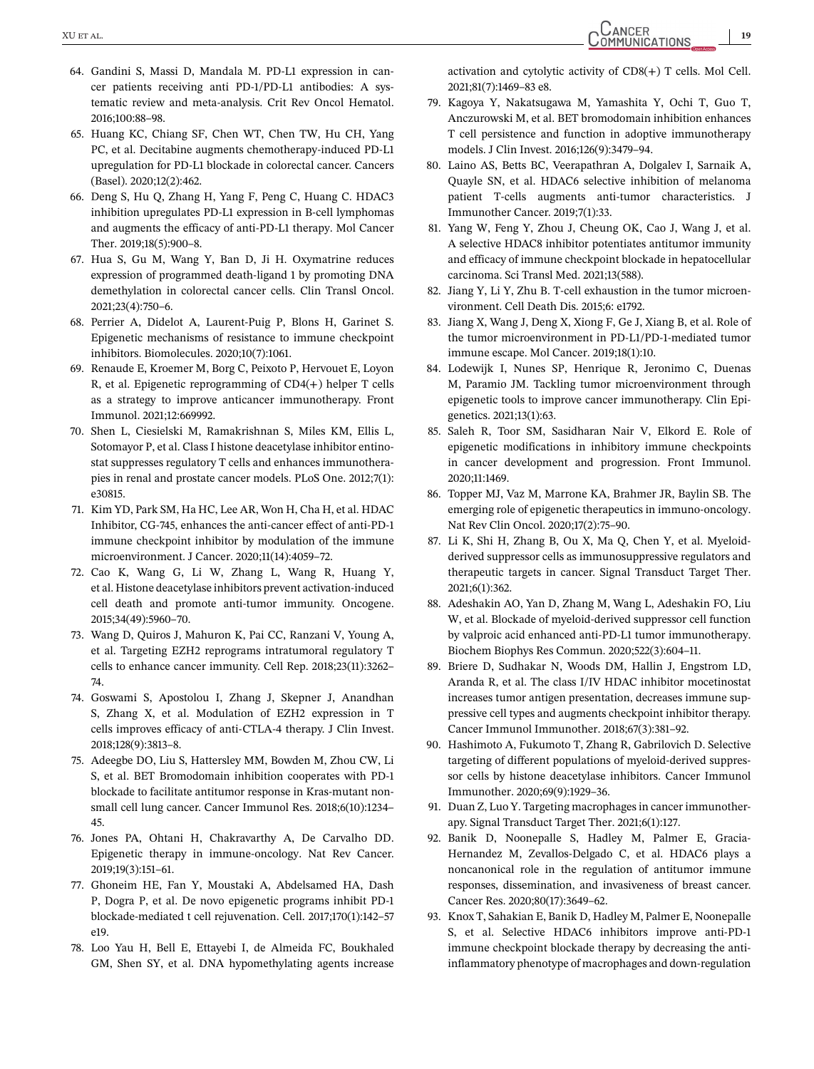- <span id="page-18-0"></span>64. Gandini S, Massi D, Mandala M. PD-L1 expression in cancer patients receiving anti PD-1/PD-L1 antibodies: A systematic review and meta-analysis. Crit Rev Oncol Hematol. 2016;100:88–98.
- 65. Huang KC, Chiang SF, Chen WT, Chen TW, Hu CH, Yang PC, et al. Decitabine augments chemotherapy-induced PD-L1 upregulation for PD-L1 blockade in colorectal cancer. Cancers (Basel). 2020;12(2):462.
- 66. Deng S, Hu Q, Zhang H, Yang F, Peng C, Huang C. HDAC3 inhibition upregulates PD-L1 expression in B-cell lymphomas and augments the efficacy of anti-PD-L1 therapy. Mol Cancer Ther. 2019;18(5):900–8.
- 67. Hua S, Gu M, Wang Y, Ban D, Ji H. Oxymatrine reduces expression of programmed death-ligand 1 by promoting DNA demethylation in colorectal cancer cells. Clin Transl Oncol. 2021;23(4):750–6.
- 68. Perrier A, Didelot A, Laurent-Puig P, Blons H, Garinet S. Epigenetic mechanisms of resistance to immune checkpoint inhibitors. Biomolecules. 2020;10(7):1061.
- 69. Renaude E, Kroemer M, Borg C, Peixoto P, Hervouet E, Loyon R, et al. Epigenetic reprogramming of CD4(+) helper T cells as a strategy to improve anticancer immunotherapy. Front Immunol. 2021;12:669992.
- 70. Shen L, Ciesielski M, Ramakrishnan S, Miles KM, Ellis L, Sotomayor P, et al. Class I histone deacetylase inhibitor entinostat suppresses regulatory T cells and enhances immunotherapies in renal and prostate cancer models. PLoS One. 2012;7(1): e30815.
- 71. Kim YD, Park SM, Ha HC, Lee AR, Won H, Cha H, et al. HDAC Inhibitor, CG-745, enhances the anti-cancer effect of anti-PD-1 immune checkpoint inhibitor by modulation of the immune microenvironment. J Cancer. 2020;11(14):4059–72.
- 72. Cao K, Wang G, Li W, Zhang L, Wang R, Huang Y, et al. Histone deacetylase inhibitors prevent activation-induced cell death and promote anti-tumor immunity. Oncogene. 2015;34(49):5960–70.
- 73. Wang D, Quiros J, Mahuron K, Pai CC, Ranzani V, Young A, et al. Targeting EZH2 reprograms intratumoral regulatory T cells to enhance cancer immunity. Cell Rep. 2018;23(11):3262– 74.
- 74. Goswami S, Apostolou I, Zhang J, Skepner J, Anandhan S, Zhang X, et al. Modulation of EZH2 expression in T cells improves efficacy of anti-CTLA-4 therapy. J Clin Invest. 2018;128(9):3813–8.
- 75. Adeegbe DO, Liu S, Hattersley MM, Bowden M, Zhou CW, Li S, et al. BET Bromodomain inhibition cooperates with PD-1 blockade to facilitate antitumor response in Kras-mutant nonsmall cell lung cancer. Cancer Immunol Res. 2018;6(10):1234– 45.
- 76. Jones PA, Ohtani H, Chakravarthy A, De Carvalho DD. Epigenetic therapy in immune-oncology. Nat Rev Cancer. 2019;19(3):151–61.
- 77. Ghoneim HE, Fan Y, Moustaki A, Abdelsamed HA, Dash P, Dogra P, et al. De novo epigenetic programs inhibit PD-1 blockade-mediated t cell rejuvenation. Cell. 2017;170(1):142–57 e19.
- 78. Loo Yau H, Bell E, Ettayebi I, de Almeida FC, Boukhaled GM, Shen SY, et al. DNA hypomethylating agents increase

activation and cytolytic activity of CD8(+) T cells. Mol Cell. 2021;81(7):1469–83 e8.

- 79. Kagoya Y, Nakatsugawa M, Yamashita Y, Ochi T, Guo T, Anczurowski M, et al. BET bromodomain inhibition enhances T cell persistence and function in adoptive immunotherapy models. J Clin Invest. 2016;126(9):3479–94.
- 80. Laino AS, Betts BC, Veerapathran A, Dolgalev I, Sarnaik A, Quayle SN, et al. HDAC6 selective inhibition of melanoma patient T-cells augments anti-tumor characteristics. J Immunother Cancer. 2019;7(1):33.
- 81. Yang W, Feng Y, Zhou J, Cheung OK, Cao J, Wang J, et al. A selective HDAC8 inhibitor potentiates antitumor immunity and efficacy of immune checkpoint blockade in hepatocellular carcinoma. Sci Transl Med. 2021;13(588).
- 82. Jiang Y, Li Y, Zhu B. T-cell exhaustion in the tumor microenvironment. Cell Death Dis. 2015;6: e1792.
- 83. Jiang X, Wang J, Deng X, Xiong F, Ge J, Xiang B, et al. Role of the tumor microenvironment in PD-L1/PD-1-mediated tumor immune escape. Mol Cancer. 2019;18(1):10.
- 84. Lodewijk I, Nunes SP, Henrique R, Jeronimo C, Duenas M, Paramio JM. Tackling tumor microenvironment through epigenetic tools to improve cancer immunotherapy. Clin Epigenetics. 2021;13(1):63.
- 85. Saleh R, Toor SM, Sasidharan Nair V, Elkord E. Role of epigenetic modifications in inhibitory immune checkpoints in cancer development and progression. Front Immunol. 2020;11:1469.
- 86. Topper MJ, Vaz M, Marrone KA, Brahmer JR, Baylin SB. The emerging role of epigenetic therapeutics in immuno-oncology. Nat Rev Clin Oncol. 2020;17(2):75–90.
- 87. Li K, Shi H, Zhang B, Ou X, Ma Q, Chen Y, et al. Myeloidderived suppressor cells as immunosuppressive regulators and therapeutic targets in cancer. Signal Transduct Target Ther. 2021;6(1):362.
- 88. Adeshakin AO, Yan D, Zhang M, Wang L, Adeshakin FO, Liu W, et al. Blockade of myeloid-derived suppressor cell function by valproic acid enhanced anti-PD-L1 tumor immunotherapy. Biochem Biophys Res Commun. 2020;522(3):604–11.
- 89. Briere D, Sudhakar N, Woods DM, Hallin J, Engstrom LD, Aranda R, et al. The class I/IV HDAC inhibitor mocetinostat increases tumor antigen presentation, decreases immune suppressive cell types and augments checkpoint inhibitor therapy. Cancer Immunol Immunother. 2018;67(3):381–92.
- 90. Hashimoto A, Fukumoto T, Zhang R, Gabrilovich D. Selective targeting of different populations of myeloid-derived suppressor cells by histone deacetylase inhibitors. Cancer Immunol Immunother. 2020;69(9):1929–36.
- 91. Duan Z, Luo Y. Targeting macrophages in cancer immunotherapy. Signal Transduct Target Ther. 2021;6(1):127.
- 92. Banik D, Noonepalle S, Hadley M, Palmer E, Gracia-Hernandez M, Zevallos-Delgado C, et al. HDAC6 plays a noncanonical role in the regulation of antitumor immune responses, dissemination, and invasiveness of breast cancer. Cancer Res. 2020;80(17):3649–62.
- 93. Knox T, Sahakian E, Banik D, Hadley M, Palmer E, Noonepalle S, et al. Selective HDAC6 inhibitors improve anti-PD-1 immune checkpoint blockade therapy by decreasing the antiinflammatory phenotype of macrophages and down-regulation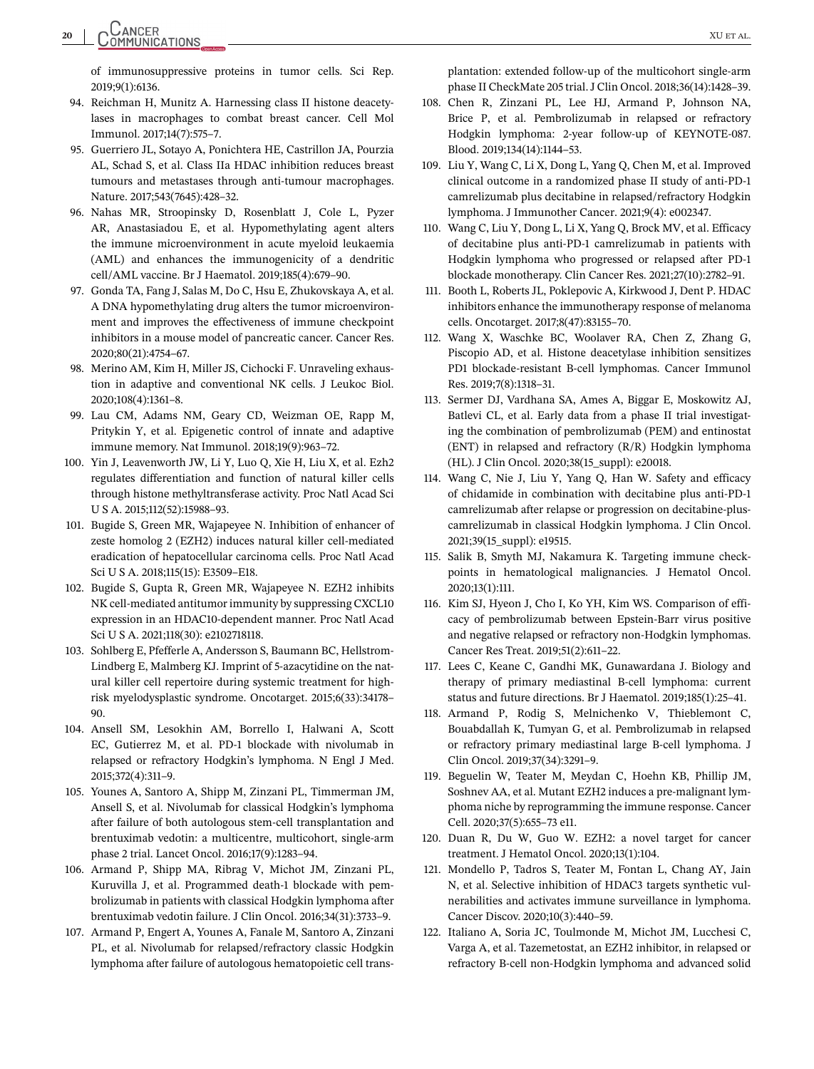<span id="page-19-0"></span>of immunosuppressive proteins in tumor cells. Sci Rep. 2019;9(1):6136.

- 94. Reichman H, Munitz A. Harnessing class II histone deacetylases in macrophages to combat breast cancer. Cell Mol Immunol. 2017;14(7):575–7.
- 95. Guerriero JL, Sotayo A, Ponichtera HE, Castrillon JA, Pourzia AL, Schad S, et al. Class IIa HDAC inhibition reduces breast tumours and metastases through anti-tumour macrophages. Nature. 2017;543(7645):428–32.
- 96. Nahas MR, Stroopinsky D, Rosenblatt J, Cole L, Pyzer AR, Anastasiadou E, et al. Hypomethylating agent alters the immune microenvironment in acute myeloid leukaemia (AML) and enhances the immunogenicity of a dendritic cell/AML vaccine. Br J Haematol. 2019;185(4):679–90.
- 97. Gonda TA, Fang J, Salas M, Do C, Hsu E, Zhukovskaya A, et al. A DNA hypomethylating drug alters the tumor microenvironment and improves the effectiveness of immune checkpoint inhibitors in a mouse model of pancreatic cancer. Cancer Res. 2020;80(21):4754–67.
- 98. Merino AM, Kim H, Miller JS, Cichocki F. Unraveling exhaustion in adaptive and conventional NK cells. J Leukoc Biol. 2020;108(4):1361–8.
- 99. Lau CM, Adams NM, Geary CD, Weizman OE, Rapp M, Pritykin Y, et al. Epigenetic control of innate and adaptive immune memory. Nat Immunol. 2018;19(9):963–72.
- 100. Yin J, Leavenworth JW, Li Y, Luo Q, Xie H, Liu X, et al. Ezh2 regulates differentiation and function of natural killer cells through histone methyltransferase activity. Proc Natl Acad Sci U S A. 2015;112(52):15988–93.
- 101. Bugide S, Green MR, Wajapeyee N. Inhibition of enhancer of zeste homolog 2 (EZH2) induces natural killer cell-mediated eradication of hepatocellular carcinoma cells. Proc Natl Acad Sci U S A. 2018;115(15): E3509–E18.
- 102. Bugide S, Gupta R, Green MR, Wajapeyee N. EZH2 inhibits NK cell-mediated antitumor immunity by suppressing CXCL10 expression in an HDAC10-dependent manner. Proc Natl Acad Sci U S A. 2021;118(30): e2102718118.
- 103. Sohlberg E, Pfefferle A, Andersson S, Baumann BC, Hellstrom-Lindberg E, Malmberg KJ. Imprint of 5-azacytidine on the natural killer cell repertoire during systemic treatment for highrisk myelodysplastic syndrome. Oncotarget. 2015;6(33):34178– 90.
- 104. Ansell SM, Lesokhin AM, Borrello I, Halwani A, Scott EC, Gutierrez M, et al. PD-1 blockade with nivolumab in relapsed or refractory Hodgkin's lymphoma. N Engl J Med. 2015;372(4):311–9.
- 105. Younes A, Santoro A, Shipp M, Zinzani PL, Timmerman JM, Ansell S, et al. Nivolumab for classical Hodgkin's lymphoma after failure of both autologous stem-cell transplantation and brentuximab vedotin: a multicentre, multicohort, single-arm phase 2 trial. Lancet Oncol. 2016;17(9):1283–94.
- 106. Armand P, Shipp MA, Ribrag V, Michot JM, Zinzani PL, Kuruvilla J, et al. Programmed death-1 blockade with pembrolizumab in patients with classical Hodgkin lymphoma after brentuximab vedotin failure. J Clin Oncol. 2016;34(31):3733–9.
- 107. Armand P, Engert A, Younes A, Fanale M, Santoro A, Zinzani PL, et al. Nivolumab for relapsed/refractory classic Hodgkin lymphoma after failure of autologous hematopoietic cell trans-

plantation: extended follow-up of the multicohort single-arm phase II CheckMate 205 trial. J Clin Oncol. 2018;36(14):1428–39.

- 108. Chen R, Zinzani PL, Lee HJ, Armand P, Johnson NA, Brice P, et al. Pembrolizumab in relapsed or refractory Hodgkin lymphoma: 2-year follow-up of KEYNOTE-087. Blood. 2019;134(14):1144–53.
- 109. Liu Y, Wang C, Li X, Dong L, Yang Q, Chen M, et al. Improved clinical outcome in a randomized phase II study of anti-PD-1 camrelizumab plus decitabine in relapsed/refractory Hodgkin lymphoma. J Immunother Cancer. 2021;9(4): e002347.
- 110. Wang C, Liu Y, Dong L, Li X, Yang Q, Brock MV, et al. Efficacy of decitabine plus anti-PD-1 camrelizumab in patients with Hodgkin lymphoma who progressed or relapsed after PD-1 blockade monotherapy. Clin Cancer Res. 2021;27(10):2782–91.
- 111. Booth L, Roberts JL, Poklepovic A, Kirkwood J, Dent P. HDAC inhibitors enhance the immunotherapy response of melanoma cells. Oncotarget. 2017;8(47):83155–70.
- 112. Wang X, Waschke BC, Woolaver RA, Chen Z, Zhang G, Piscopio AD, et al. Histone deacetylase inhibition sensitizes PD1 blockade-resistant B-cell lymphomas. Cancer Immunol Res. 2019;7(8):1318–31.
- 113. Sermer DJ, Vardhana SA, Ames A, Biggar E, Moskowitz AJ, Batlevi CL, et al. Early data from a phase II trial investigating the combination of pembrolizumab (PEM) and entinostat (ENT) in relapsed and refractory (R/R) Hodgkin lymphoma (HL). J Clin Oncol. 2020;38(15\_suppl): e20018.
- 114. Wang C, Nie J, Liu Y, Yang Q, Han W. Safety and efficacy of chidamide in combination with decitabine plus anti-PD-1 camrelizumab after relapse or progression on decitabine-pluscamrelizumab in classical Hodgkin lymphoma. J Clin Oncol. 2021;39(15\_suppl): e19515.
- 115. Salik B, Smyth MJ, Nakamura K. Targeting immune checkpoints in hematological malignancies. J Hematol Oncol. 2020;13(1):111.
- 116. Kim SJ, Hyeon J, Cho I, Ko YH, Kim WS. Comparison of efficacy of pembrolizumab between Epstein-Barr virus positive and negative relapsed or refractory non-Hodgkin lymphomas. Cancer Res Treat. 2019;51(2):611–22.
- 117. Lees C, Keane C, Gandhi MK, Gunawardana J. Biology and therapy of primary mediastinal B-cell lymphoma: current status and future directions. Br J Haematol. 2019;185(1):25–41.
- 118. Armand P, Rodig S, Melnichenko V, Thieblemont C, Bouabdallah K, Tumyan G, et al. Pembrolizumab in relapsed or refractory primary mediastinal large B-cell lymphoma. J Clin Oncol. 2019;37(34):3291–9.
- 119. Beguelin W, Teater M, Meydan C, Hoehn KB, Phillip JM, Soshnev AA, et al. Mutant EZH2 induces a pre-malignant lymphoma niche by reprogramming the immune response. Cancer Cell. 2020;37(5):655–73 e11.
- 120. Duan R, Du W, Guo W. EZH2: a novel target for cancer treatment. J Hematol Oncol. 2020;13(1):104.
- 121. Mondello P, Tadros S, Teater M, Fontan L, Chang AY, Jain N, et al. Selective inhibition of HDAC3 targets synthetic vulnerabilities and activates immune surveillance in lymphoma. Cancer Discov. 2020;10(3):440–59.
- 122. Italiano A, Soria JC, Toulmonde M, Michot JM, Lucchesi C, Varga A, et al. Tazemetostat, an EZH2 inhibitor, in relapsed or refractory B-cell non-Hodgkin lymphoma and advanced solid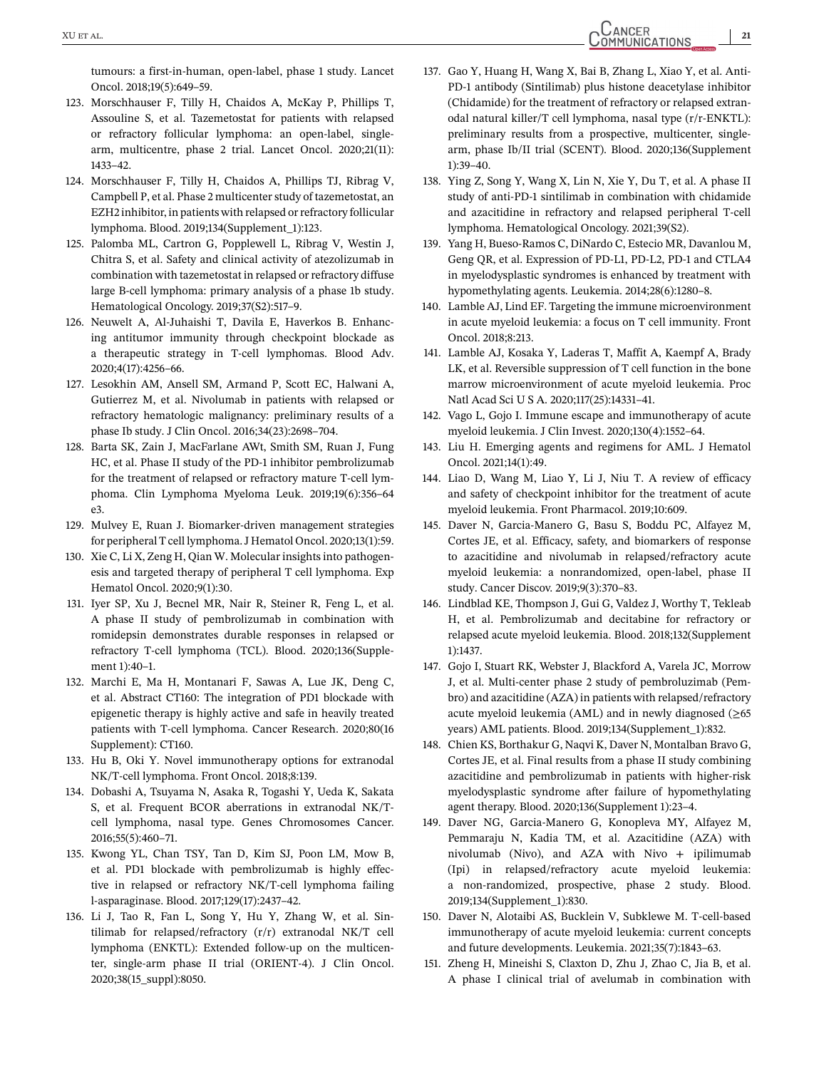<span id="page-20-0"></span>tumours: a first-in-human, open-label, phase 1 study. Lancet Oncol. 2018;19(5):649–59.

- 123. Morschhauser F, Tilly H, Chaidos A, McKay P, Phillips T, Assouline S, et al. Tazemetostat for patients with relapsed or refractory follicular lymphoma: an open-label, singlearm, multicentre, phase 2 trial. Lancet Oncol. 2020;21(11): 1433–42.
- 124. Morschhauser F, Tilly H, Chaidos A, Phillips TJ, Ribrag V, Campbell P, et al. Phase 2 multicenter study of tazemetostat, an EZH2 inhibitor, in patients with relapsed or refractory follicular lymphoma. Blood. 2019;134(Supplement\_1):123.
- 125. Palomba ML, Cartron G, Popplewell L, Ribrag V, Westin J, Chitra S, et al. Safety and clinical activity of atezolizumab in combination with tazemetostat in relapsed or refractory diffuse large B-cell lymphoma: primary analysis of a phase 1b study. Hematological Oncology. 2019;37(S2):517–9.
- 126. Neuwelt A, Al-Juhaishi T, Davila E, Haverkos B. Enhancing antitumor immunity through checkpoint blockade as a therapeutic strategy in T-cell lymphomas. Blood Adv. 2020;4(17):4256–66.
- 127. Lesokhin AM, Ansell SM, Armand P, Scott EC, Halwani A, Gutierrez M, et al. Nivolumab in patients with relapsed or refractory hematologic malignancy: preliminary results of a phase Ib study. J Clin Oncol. 2016;34(23):2698–704.
- 128. Barta SK, Zain J, MacFarlane AWt, Smith SM, Ruan J, Fung HC, et al. Phase II study of the PD-1 inhibitor pembrolizumab for the treatment of relapsed or refractory mature T-cell lymphoma. Clin Lymphoma Myeloma Leuk. 2019;19(6):356–64 e3.
- 129. Mulvey E, Ruan J. Biomarker-driven management strategies for peripheral T cell lymphoma. J Hematol Oncol. 2020;13(1):59.
- 130. Xie C, Li X, Zeng H, Qian W. Molecular insights into pathogenesis and targeted therapy of peripheral T cell lymphoma. Exp Hematol Oncol. 2020;9(1):30.
- 131. Iyer SP, Xu J, Becnel MR, Nair R, Steiner R, Feng L, et al. A phase II study of pembrolizumab in combination with romidepsin demonstrates durable responses in relapsed or refractory T-cell lymphoma (TCL). Blood. 2020;136(Supplement 1):40–1.
- 132. Marchi E, Ma H, Montanari F, Sawas A, Lue JK, Deng C, et al. Abstract CT160: The integration of PD1 blockade with epigenetic therapy is highly active and safe in heavily treated patients with T-cell lymphoma. Cancer Research. 2020;80(16 Supplement): CT160.
- 133. Hu B, Oki Y. Novel immunotherapy options for extranodal NK/T-cell lymphoma. Front Oncol. 2018;8:139.
- 134. Dobashi A, Tsuyama N, Asaka R, Togashi Y, Ueda K, Sakata S, et al. Frequent BCOR aberrations in extranodal NK/Tcell lymphoma, nasal type. Genes Chromosomes Cancer. 2016;55(5):460–71.
- 135. Kwong YL, Chan TSY, Tan D, Kim SJ, Poon LM, Mow B, et al. PD1 blockade with pembrolizumab is highly effective in relapsed or refractory NK/T-cell lymphoma failing l-asparaginase. Blood. 2017;129(17):2437–42.
- 136. Li J, Tao R, Fan L, Song Y, Hu Y, Zhang W, et al. Sintilimab for relapsed/refractory (r/r) extranodal NK/T cell lymphoma (ENKTL): Extended follow-up on the multicenter, single-arm phase II trial (ORIENT-4). J Clin Oncol. 2020;38(15\_suppl):8050.
- 137. Gao Y, Huang H, Wang X, Bai B, Zhang L, Xiao Y, et al. Anti-PD-1 antibody (Sintilimab) plus histone deacetylase inhibitor (Chidamide) for the treatment of refractory or relapsed extranodal natural killer/T cell lymphoma, nasal type (r/r-ENKTL): preliminary results from a prospective, multicenter, singlearm, phase Ib/II trial (SCENT). Blood. 2020;136(Supplement 1):39–40.
- 138. Ying Z, Song Y, Wang X, Lin N, Xie Y, Du T, et al. A phase II study of anti-PD-1 sintilimab in combination with chidamide and azacitidine in refractory and relapsed peripheral T-cell lymphoma. Hematological Oncology. 2021;39(S2).
- 139. Yang H, Bueso-Ramos C, DiNardo C, Estecio MR, Davanlou M, Geng QR, et al. Expression of PD-L1, PD-L2, PD-1 and CTLA4 in myelodysplastic syndromes is enhanced by treatment with hypomethylating agents. Leukemia. 2014;28(6):1280–8.
- 140. Lamble AJ, Lind EF. Targeting the immune microenvironment in acute myeloid leukemia: a focus on T cell immunity. Front Oncol. 2018;8:213.
- 141. Lamble AJ, Kosaka Y, Laderas T, Maffit A, Kaempf A, Brady LK, et al. Reversible suppression of T cell function in the bone marrow microenvironment of acute myeloid leukemia. Proc Natl Acad Sci U S A. 2020;117(25):14331–41.
- 142. Vago L, Gojo I. Immune escape and immunotherapy of acute myeloid leukemia. J Clin Invest. 2020;130(4):1552–64.
- 143. Liu H. Emerging agents and regimens for AML. J Hematol Oncol. 2021;14(1):49.
- 144. Liao D, Wang M, Liao Y, Li J, Niu T. A review of efficacy and safety of checkpoint inhibitor for the treatment of acute myeloid leukemia. Front Pharmacol. 2019;10:609.
- 145. Daver N, Garcia-Manero G, Basu S, Boddu PC, Alfayez M, Cortes JE, et al. Efficacy, safety, and biomarkers of response to azacitidine and nivolumab in relapsed/refractory acute myeloid leukemia: a nonrandomized, open-label, phase II study. Cancer Discov. 2019;9(3):370–83.
- 146. Lindblad KE, Thompson J, Gui G, Valdez J, Worthy T, Tekleab H, et al. Pembrolizumab and decitabine for refractory or relapsed acute myeloid leukemia. Blood. 2018;132(Supplement 1):1437.
- 147. Gojo I, Stuart RK, Webster J, Blackford A, Varela JC, Morrow J, et al. Multi-center phase 2 study of pembroluzimab (Pembro) and azacitidine (AZA) in patients with relapsed/refractory acute myeloid leukemia (AML) and in newly diagnosed  $(\geq 65)$ years) AML patients. Blood. 2019;134(Supplement\_1):832.
- 148. Chien KS, Borthakur G, Naqvi K, Daver N, Montalban Bravo G, Cortes JE, et al. Final results from a phase II study combining azacitidine and pembrolizumab in patients with higher-risk myelodysplastic syndrome after failure of hypomethylating agent therapy. Blood. 2020;136(Supplement 1):23–4.
- 149. Daver NG, Garcia-Manero G, Konopleva MY, Alfayez M, Pemmaraju N, Kadia TM, et al. Azacitidine (AZA) with nivolumab (Nivo), and AZA with Nivo + ipilimumab (Ipi) in relapsed/refractory acute myeloid leukemia: a non-randomized, prospective, phase 2 study. Blood. 2019;134(Supplement\_1):830.
- 150. Daver N, Alotaibi AS, Bucklein V, Subklewe M. T-cell-based immunotherapy of acute myeloid leukemia: current concepts and future developments. Leukemia. 2021;35(7):1843–63.
- 151. Zheng H, Mineishi S, Claxton D, Zhu J, Zhao C, Jia B, et al. A phase I clinical trial of avelumab in combination with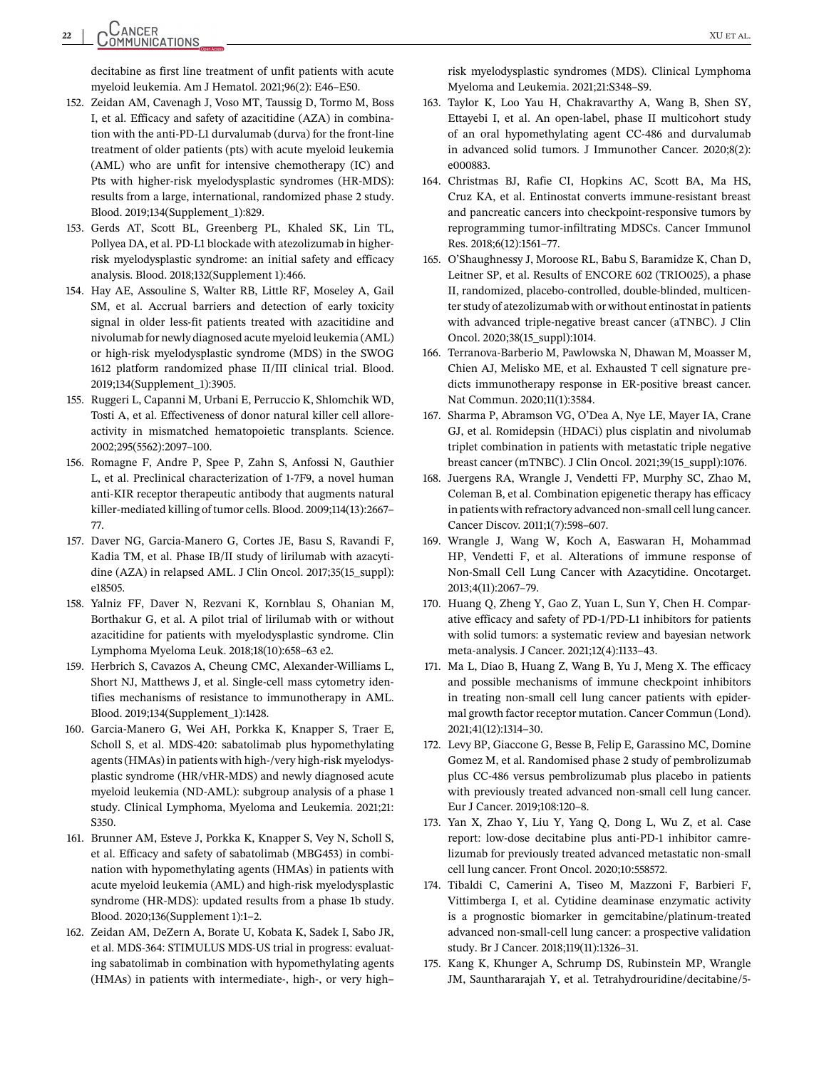<span id="page-21-0"></span>decitabine as first line treatment of unfit patients with acute myeloid leukemia. Am J Hematol. 2021;96(2): E46–E50.

- 152. Zeidan AM, Cavenagh J, Voso MT, Taussig D, Tormo M, Boss I, et al. Efficacy and safety of azacitidine (AZA) in combination with the anti-PD-L1 durvalumab (durva) for the front-line treatment of older patients (pts) with acute myeloid leukemia (AML) who are unfit for intensive chemotherapy (IC) and Pts with higher-risk myelodysplastic syndromes (HR-MDS): results from a large, international, randomized phase 2 study. Blood. 2019;134(Supplement\_1):829.
- 153. Gerds AT, Scott BL, Greenberg PL, Khaled SK, Lin TL, Pollyea DA, et al. PD-L1 blockade with atezolizumab in higherrisk myelodysplastic syndrome: an initial safety and efficacy analysis. Blood. 2018;132(Supplement 1):466.
- 154. Hay AE, Assouline S, Walter RB, Little RF, Moseley A, Gail SM, et al. Accrual barriers and detection of early toxicity signal in older less-fit patients treated with azacitidine and nivolumab for newly diagnosed acute myeloid leukemia (AML) or high-risk myelodysplastic syndrome (MDS) in the SWOG 1612 platform randomized phase II/III clinical trial. Blood. 2019;134(Supplement\_1):3905.
- 155. Ruggeri L, Capanni M, Urbani E, Perruccio K, Shlomchik WD, Tosti A, et al. Effectiveness of donor natural killer cell alloreactivity in mismatched hematopoietic transplants. Science. 2002;295(5562):2097–100.
- 156. Romagne F, Andre P, Spee P, Zahn S, Anfossi N, Gauthier L, et al. Preclinical characterization of 1-7F9, a novel human anti-KIR receptor therapeutic antibody that augments natural killer-mediated killing of tumor cells. Blood. 2009;114(13):2667– 77.
- 157. Daver NG, Garcia-Manero G, Cortes JE, Basu S, Ravandi F, Kadia TM, et al. Phase IB/II study of lirilumab with azacytidine (AZA) in relapsed AML. J Clin Oncol. 2017;35(15\_suppl): e18505.
- 158. Yalniz FF, Daver N, Rezvani K, Kornblau S, Ohanian M, Borthakur G, et al. A pilot trial of lirilumab with or without azacitidine for patients with myelodysplastic syndrome. Clin Lymphoma Myeloma Leuk. 2018;18(10):658–63 e2.
- 159. Herbrich S, Cavazos A, Cheung CMC, Alexander-Williams L, Short NJ, Matthews J, et al. Single-cell mass cytometry identifies mechanisms of resistance to immunotherapy in AML. Blood. 2019;134(Supplement\_1):1428.
- 160. Garcia-Manero G, Wei AH, Porkka K, Knapper S, Traer E, Scholl S, et al. MDS-420: sabatolimab plus hypomethylating agents (HMAs) in patients with high-/very high-risk myelodysplastic syndrome (HR/vHR-MDS) and newly diagnosed acute myeloid leukemia (ND-AML): subgroup analysis of a phase 1 study. Clinical Lymphoma, Myeloma and Leukemia. 2021;21: S350.
- 161. Brunner AM, Esteve J, Porkka K, Knapper S, Vey N, Scholl S, et al. Efficacy and safety of sabatolimab (MBG453) in combination with hypomethylating agents (HMAs) in patients with acute myeloid leukemia (AML) and high-risk myelodysplastic syndrome (HR-MDS): updated results from a phase 1b study. Blood. 2020;136(Supplement 1):1–2.
- 162. Zeidan AM, DeZern A, Borate U, Kobata K, Sadek I, Sabo JR, et al. MDS-364: STIMULUS MDS-US trial in progress: evaluating sabatolimab in combination with hypomethylating agents (HMAs) in patients with intermediate-, high-, or very high–

risk myelodysplastic syndromes (MDS). Clinical Lymphoma Myeloma and Leukemia. 2021;21:S348–S9.

- 163. Taylor K, Loo Yau H, Chakravarthy A, Wang B, Shen SY, Ettayebi I, et al. An open-label, phase II multicohort study of an oral hypomethylating agent CC-486 and durvalumab in advanced solid tumors. J Immunother Cancer. 2020;8(2): e000883.
- 164. Christmas BJ, Rafie CI, Hopkins AC, Scott BA, Ma HS, Cruz KA, et al. Entinostat converts immune-resistant breast and pancreatic cancers into checkpoint-responsive tumors by reprogramming tumor-infiltrating MDSCs. Cancer Immunol Res. 2018;6(12):1561–77.
- 165. O'Shaughnessy J, Moroose RL, Babu S, Baramidze K, Chan D, Leitner SP, et al. Results of ENCORE 602 (TRIO025), a phase II, randomized, placebo-controlled, double-blinded, multicenter study of atezolizumab with or without entinostat in patients with advanced triple-negative breast cancer (aTNBC). J Clin Oncol. 2020;38(15\_suppl):1014.
- 166. Terranova-Barberio M, Pawlowska N, Dhawan M, Moasser M, Chien AJ, Melisko ME, et al. Exhausted T cell signature predicts immunotherapy response in ER-positive breast cancer. Nat Commun. 2020;11(1):3584.
- 167. Sharma P, Abramson VG, O'Dea A, Nye LE, Mayer IA, Crane GJ, et al. Romidepsin (HDACi) plus cisplatin and nivolumab triplet combination in patients with metastatic triple negative breast cancer (mTNBC). J Clin Oncol. 2021;39(15\_suppl):1076.
- 168. Juergens RA, Wrangle J, Vendetti FP, Murphy SC, Zhao M, Coleman B, et al. Combination epigenetic therapy has efficacy in patients with refractory advanced non-small cell lung cancer. Cancer Discov. 2011;1(7):598–607.
- 169. Wrangle J, Wang W, Koch A, Easwaran H, Mohammad HP, Vendetti F, et al. Alterations of immune response of Non-Small Cell Lung Cancer with Azacytidine. Oncotarget. 2013;4(11):2067–79.
- 170. Huang Q, Zheng Y, Gao Z, Yuan L, Sun Y, Chen H. Comparative efficacy and safety of PD-1/PD-L1 inhibitors for patients with solid tumors: a systematic review and bayesian network meta-analysis. J Cancer. 2021;12(4):1133–43.
- 171. Ma L, Diao B, Huang Z, Wang B, Yu J, Meng X. The efficacy and possible mechanisms of immune checkpoint inhibitors in treating non-small cell lung cancer patients with epidermal growth factor receptor mutation. Cancer Commun (Lond). 2021;41(12):1314–30.
- 172. Levy BP, Giaccone G, Besse B, Felip E, Garassino MC, Domine Gomez M, et al. Randomised phase 2 study of pembrolizumab plus CC-486 versus pembrolizumab plus placebo in patients with previously treated advanced non-small cell lung cancer. Eur J Cancer. 2019;108:120–8.
- 173. Yan X, Zhao Y, Liu Y, Yang Q, Dong L, Wu Z, et al. Case report: low-dose decitabine plus anti-PD-1 inhibitor camrelizumab for previously treated advanced metastatic non-small cell lung cancer. Front Oncol. 2020;10:558572.
- 174. Tibaldi C, Camerini A, Tiseo M, Mazzoni F, Barbieri F, Vittimberga I, et al. Cytidine deaminase enzymatic activity is a prognostic biomarker in gemcitabine/platinum-treated advanced non-small-cell lung cancer: a prospective validation study. Br J Cancer. 2018;119(11):1326–31.
- 175. Kang K, Khunger A, Schrump DS, Rubinstein MP, Wrangle JM, Saunthararajah Y, et al. Tetrahydrouridine/decitabine/5-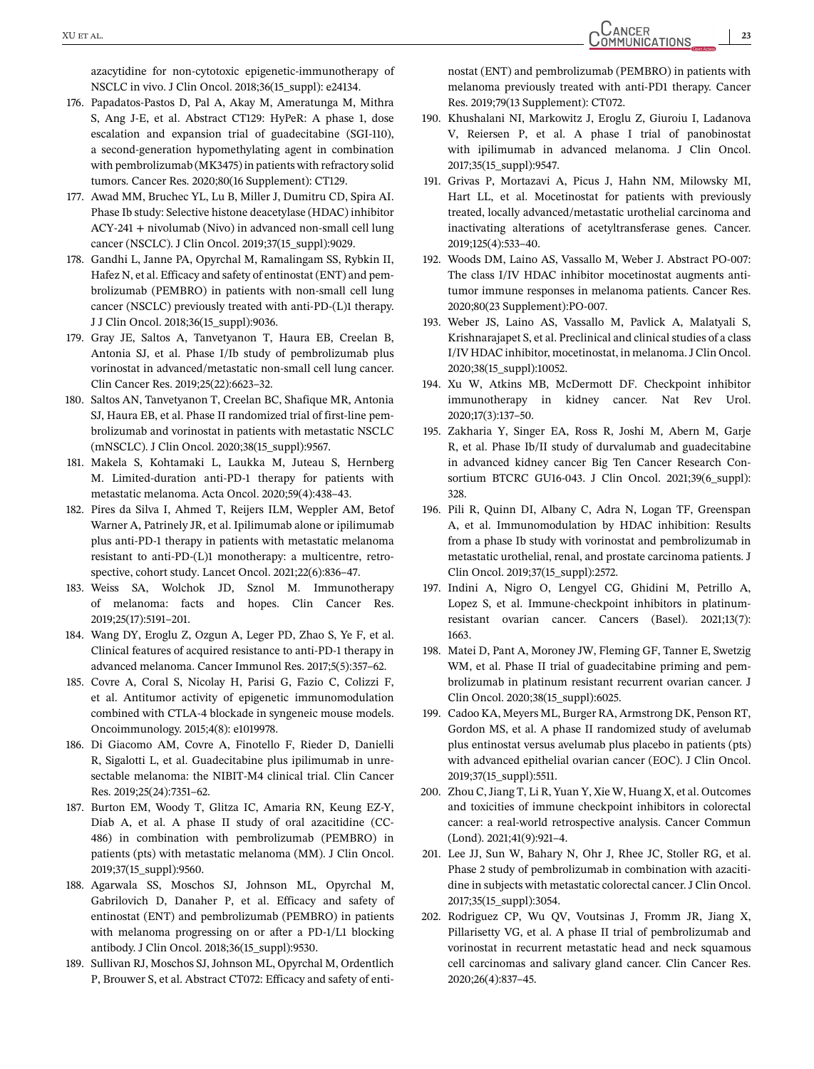<span id="page-22-0"></span>azacytidine for non-cytotoxic epigenetic-immunotherapy of NSCLC in vivo. J Clin Oncol. 2018;36(15\_suppl): e24134.

- 176. Papadatos-Pastos D, Pal A, Akay M, Ameratunga M, Mithra S, Ang J-E, et al. Abstract CT129: HyPeR: A phase 1, dose escalation and expansion trial of guadecitabine (SGI-110), a second-generation hypomethylating agent in combination with pembrolizumab (MK3475) in patients with refractory solid tumors. Cancer Res. 2020;80(16 Supplement): CT129.
- 177. Awad MM, Bruchec YL, Lu B, Miller J, Dumitru CD, Spira AI. Phase Ib study: Selective histone deacetylase (HDAC) inhibitor ACY-241 + nivolumab (Nivo) in advanced non-small cell lung cancer (NSCLC). J Clin Oncol. 2019;37(15\_suppl):9029.
- 178. Gandhi L, Janne PA, Opyrchal M, Ramalingam SS, Rybkin II, Hafez N, et al. Efficacy and safety of entinostat (ENT) and pembrolizumab (PEMBRO) in patients with non-small cell lung cancer (NSCLC) previously treated with anti-PD-(L)1 therapy. J J Clin Oncol. 2018;36(15\_suppl):9036.
- 179. Gray JE, Saltos A, Tanvetyanon T, Haura EB, Creelan B, Antonia SJ, et al. Phase I/Ib study of pembrolizumab plus vorinostat in advanced/metastatic non-small cell lung cancer. Clin Cancer Res. 2019;25(22):6623–32.
- 180. Saltos AN, Tanvetyanon T, Creelan BC, Shafique MR, Antonia SJ, Haura EB, et al. Phase II randomized trial of first-line pembrolizumab and vorinostat in patients with metastatic NSCLC (mNSCLC). J Clin Oncol. 2020;38(15\_suppl):9567.
- 181. Makela S, Kohtamaki L, Laukka M, Juteau S, Hernberg M. Limited-duration anti-PD-1 therapy for patients with metastatic melanoma. Acta Oncol. 2020;59(4):438–43.
- 182. Pires da Silva I, Ahmed T, Reijers ILM, Weppler AM, Betof Warner A, Patrinely JR, et al. Ipilimumab alone or ipilimumab plus anti-PD-1 therapy in patients with metastatic melanoma resistant to anti-PD-(L)1 monotherapy: a multicentre, retrospective, cohort study. Lancet Oncol. 2021;22(6):836–47.
- 183. Weiss SA, Wolchok JD, Sznol M. Immunotherapy of melanoma: facts and hopes. Clin Cancer Res. 2019;25(17):5191–201.
- 184. Wang DY, Eroglu Z, Ozgun A, Leger PD, Zhao S, Ye F, et al. Clinical features of acquired resistance to anti-PD-1 therapy in advanced melanoma. Cancer Immunol Res. 2017;5(5):357–62.
- 185. Covre A, Coral S, Nicolay H, Parisi G, Fazio C, Colizzi F, et al. Antitumor activity of epigenetic immunomodulation combined with CTLA-4 blockade in syngeneic mouse models. Oncoimmunology. 2015;4(8): e1019978.
- 186. Di Giacomo AM, Covre A, Finotello F, Rieder D, Danielli R, Sigalotti L, et al. Guadecitabine plus ipilimumab in unresectable melanoma: the NIBIT-M4 clinical trial. Clin Cancer Res. 2019;25(24):7351–62.
- 187. Burton EM, Woody T, Glitza IC, Amaria RN, Keung EZ-Y, Diab A, et al. A phase II study of oral azacitidine (CC-486) in combination with pembrolizumab (PEMBRO) in patients (pts) with metastatic melanoma (MM). J Clin Oncol. 2019;37(15\_suppl):9560.
- 188. Agarwala SS, Moschos SJ, Johnson ML, Opyrchal M, Gabrilovich D, Danaher P, et al. Efficacy and safety of entinostat (ENT) and pembrolizumab (PEMBRO) in patients with melanoma progressing on or after a PD-1/L1 blocking antibody. J Clin Oncol. 2018;36(15\_suppl):9530.
- 189. Sullivan RJ, Moschos SJ, Johnson ML, Opyrchal M, Ordentlich P, Brouwer S, et al. Abstract CT072: Efficacy and safety of enti-

nostat (ENT) and pembrolizumab (PEMBRO) in patients with melanoma previously treated with anti-PD1 therapy. Cancer Res. 2019;79(13 Supplement): CT072.

- 190. Khushalani NI, Markowitz J, Eroglu Z, Giuroiu I, Ladanova V, Reiersen P, et al. A phase I trial of panobinostat with ipilimumab in advanced melanoma. J Clin Oncol. 2017;35(15\_suppl):9547.
- 191. Grivas P, Mortazavi A, Picus J, Hahn NM, Milowsky MI, Hart LL, et al. Mocetinostat for patients with previously treated, locally advanced/metastatic urothelial carcinoma and inactivating alterations of acetyltransferase genes. Cancer. 2019;125(4):533–40.
- 192. Woods DM, Laino AS, Vassallo M, Weber J. Abstract PO-007: The class I/IV HDAC inhibitor mocetinostat augments antitumor immune responses in melanoma patients. Cancer Res. 2020;80(23 Supplement):PO-007.
- 193. Weber JS, Laino AS, Vassallo M, Pavlick A, Malatyali S, Krishnarajapet S, et al. Preclinical and clinical studies of a class I/IV HDAC inhibitor, mocetinostat, in melanoma. J Clin Oncol. 2020;38(15\_suppl):10052.
- 194. Xu W, Atkins MB, McDermott DF. Checkpoint inhibitor immunotherapy in kidney cancer. Nat Rev Urol. 2020;17(3):137–50.
- 195. Zakharia Y, Singer EA, Ross R, Joshi M, Abern M, Garje R, et al. Phase Ib/II study of durvalumab and guadecitabine in advanced kidney cancer Big Ten Cancer Research Consortium BTCRC GU16-043. J Clin Oncol. 2021;39(6\_suppl): 328.
- 196. Pili R, Quinn DI, Albany C, Adra N, Logan TF, Greenspan A, et al. Immunomodulation by HDAC inhibition: Results from a phase Ib study with vorinostat and pembrolizumab in metastatic urothelial, renal, and prostate carcinoma patients. J Clin Oncol. 2019;37(15\_suppl):2572.
- 197. Indini A, Nigro O, Lengyel CG, Ghidini M, Petrillo A, Lopez S, et al. Immune-checkpoint inhibitors in platinumresistant ovarian cancer. Cancers (Basel). 2021;13(7): 1663.
- 198. Matei D, Pant A, Moroney JW, Fleming GF, Tanner E, Swetzig WM, et al. Phase II trial of guadecitabine priming and pembrolizumab in platinum resistant recurrent ovarian cancer. J Clin Oncol. 2020;38(15\_suppl):6025.
- 199. Cadoo KA, Meyers ML, Burger RA, Armstrong DK, Penson RT, Gordon MS, et al. A phase II randomized study of avelumab plus entinostat versus avelumab plus placebo in patients (pts) with advanced epithelial ovarian cancer (EOC). J Clin Oncol. 2019;37(15\_suppl):5511.
- 200. Zhou C, Jiang T, Li R, Yuan Y, Xie W, Huang X, et al. Outcomes and toxicities of immune checkpoint inhibitors in colorectal cancer: a real-world retrospective analysis. Cancer Commun (Lond). 2021;41(9):921–4.
- 201. Lee JJ, Sun W, Bahary N, Ohr J, Rhee JC, Stoller RG, et al. Phase 2 study of pembrolizumab in combination with azacitidine in subjects with metastatic colorectal cancer. J Clin Oncol. 2017;35(15\_suppl):3054.
- 202. Rodriguez CP, Wu QV, Voutsinas J, Fromm JR, Jiang X, Pillarisetty VG, et al. A phase II trial of pembrolizumab and vorinostat in recurrent metastatic head and neck squamous cell carcinomas and salivary gland cancer. Clin Cancer Res. 2020;26(4):837–45.